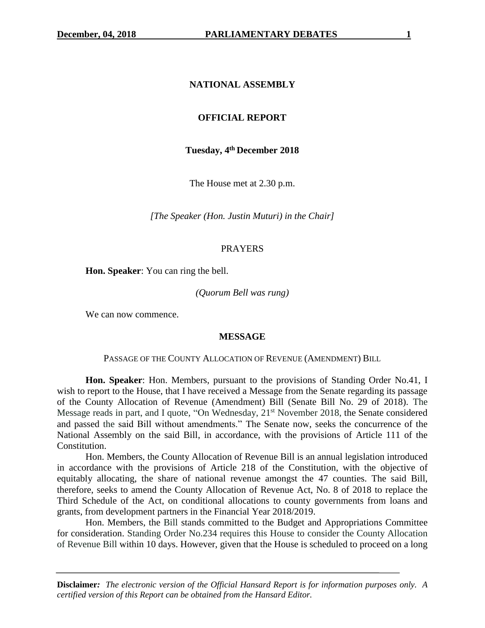### **NATIONAL ASSEMBLY**

### **OFFICIAL REPORT**

#### **Tuesday, 4th December 2018**

The House met at 2.30 p.m.

*[The Speaker (Hon. Justin Muturi) in the Chair]*

#### PRAYERS

**Hon. Speaker**: You can ring the bell.

#### *(Quorum Bell was rung)*

We can now commence.

#### **MESSAGE**

#### PASSAGE OF THE COUNTY ALLOCATION OF REVENUE (AMENDMENT) BILL

**Hon. Speaker**: Hon. Members, pursuant to the provisions of Standing Order No.41, I wish to report to the House, that I have received a Message from the Senate regarding its passage of the County Allocation of Revenue (Amendment) Bill (Senate Bill No. 29 of 2018). The Message reads in part, and I quote, "On Wednesday, 21<sup>st</sup> November 2018, the Senate considered and passed the said Bill without amendments." The Senate now, seeks the concurrence of the National Assembly on the said Bill, in accordance, with the provisions of Article 111 of the Constitution.

Hon. Members, the County Allocation of Revenue Bill is an annual legislation introduced in accordance with the provisions of Article 218 of the Constitution, with the objective of equitably allocating, the share of national revenue amongst the 47 counties. The said Bill, therefore, seeks to amend the County Allocation of Revenue Act, No. 8 of 2018 to replace the Third Schedule of the Act, on conditional allocations to county governments from loans and grants, from development partners in the Financial Year 2018/2019.

Hon. Members, the Bill stands committed to the Budget and Appropriations Committee for consideration. Standing Order No.234 requires this House to consider the County Allocation of Revenue Bill within 10 days. However, given that the House is scheduled to proceed on a long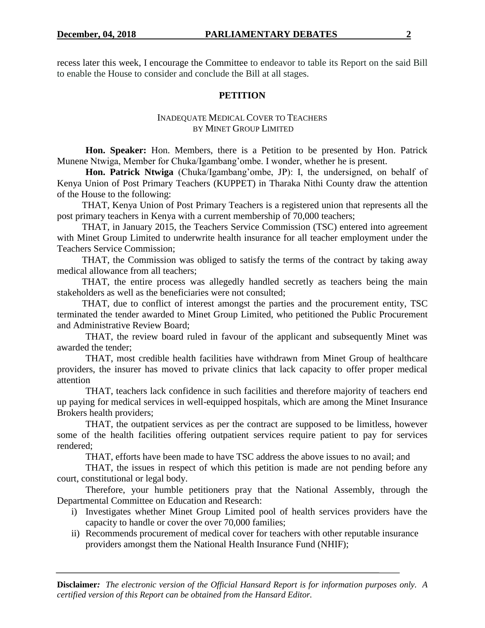recess later this week, I encourage the Committee to endeavor to table its Report on the said Bill to enable the House to consider and conclude the Bill at all stages.

## **PETITION**

### INADEQUATE MEDICAL COVER TO TEACHERS BY MINET GROUP LIMITED

**Hon. Speaker:** Hon. Members, there is a Petition to be presented by Hon. Patrick Munene Ntwiga, Member for Chuka/Igambang'ombe. I wonder, whether he is present.

**Hon. Patrick Ntwiga** (Chuka/Igambang'ombe, JP): I, the undersigned, on behalf of Kenya Union of Post Primary Teachers (KUPPET) in Tharaka Nithi County draw the attention of the House to the following:

THAT, Kenya Union of Post Primary Teachers is a registered union that represents all the post primary teachers in Kenya with a current membership of 70,000 teachers;

THAT, in January 2015, the Teachers Service Commission (TSC) entered into agreement with Minet Group Limited to underwrite health insurance for all teacher employment under the Teachers Service Commission;

THAT, the Commission was obliged to satisfy the terms of the contract by taking away medical allowance from all teachers;

THAT, the entire process was allegedly handled secretly as teachers being the main stakeholders as well as the beneficiaries were not consulted;

THAT, due to conflict of interest amongst the parties and the procurement entity, TSC terminated the tender awarded to Minet Group Limited, who petitioned the Public Procurement and Administrative Review Board;

THAT, the review board ruled in favour of the applicant and subsequently Minet was awarded the tender;

THAT, most credible health facilities have withdrawn from Minet Group of healthcare providers, the insurer has moved to private clinics that lack capacity to offer proper medical attention

THAT, teachers lack confidence in such facilities and therefore majority of teachers end up paying for medical services in well-equipped hospitals, which are among the Minet Insurance Brokers health providers;

THAT, the outpatient services as per the contract are supposed to be limitless, however some of the health facilities offering outpatient services require patient to pay for services rendered;

THAT, efforts have been made to have TSC address the above issues to no avail; and

THAT, the issues in respect of which this petition is made are not pending before any court, constitutional or legal body.

Therefore, your humble petitioners pray that the National Assembly, through the Departmental Committee on Education and Research:

- i) Investigates whether Minet Group Limited pool of health services providers have the capacity to handle or cover the over 70,000 families;
- ii) Recommends procurement of medical cover for teachers with other reputable insurance providers amongst them the National Health Insurance Fund (NHIF);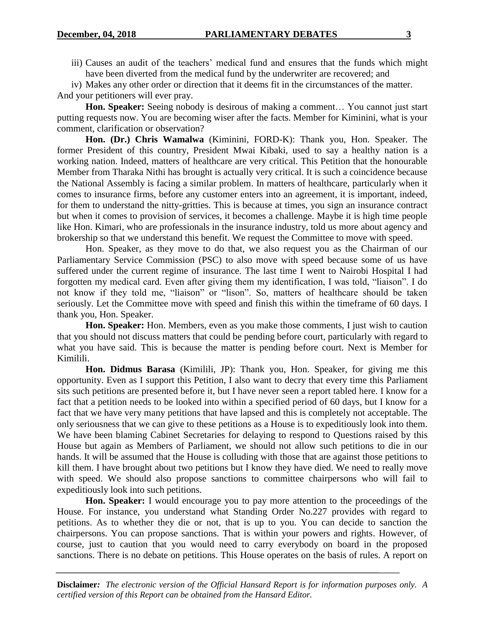iii) Causes an audit of the teachers' medical fund and ensures that the funds which might have been diverted from the medical fund by the underwriter are recovered; and

iv) Makes any other order or direction that it deems fit in the circumstances of the matter. And your petitioners will ever pray.

Hon. Speaker: Seeing nobody is desirous of making a comment... You cannot just start putting requests now. You are becoming wiser after the facts. Member for Kiminini, what is your comment, clarification or observation?

**Hon. (Dr.) Chris Wamalwa** (Kiminini, FORD-K): Thank you, Hon. Speaker. The former President of this country, President Mwai Kibaki, used to say a healthy nation is a working nation. Indeed, matters of healthcare are very critical. This Petition that the honourable Member from Tharaka Nithi has brought is actually very critical. It is such a coincidence because the National Assembly is facing a similar problem. In matters of healthcare, particularly when it comes to insurance firms, before any customer enters into an agreement, it is important, indeed, for them to understand the nitty-gritties. This is because at times, you sign an insurance contract but when it comes to provision of services, it becomes a challenge. Maybe it is high time people like Hon. Kimari, who are professionals in the insurance industry, told us more about agency and brokership so that we understand this benefit. We request the Committee to move with speed.

Hon. Speaker, as they move to do that, we also request you as the Chairman of our Parliamentary Service Commission (PSC) to also move with speed because some of us have suffered under the current regime of insurance. The last time I went to Nairobi Hospital I had forgotten my medical card. Even after giving them my identification, I was told, "liaison". I do not know if they told me, "liaison" or "lison". So, matters of healthcare should be taken seriously. Let the Committee move with speed and finish this within the timeframe of 60 days. I thank you, Hon. Speaker.

**Hon. Speaker:** Hon. Members, even as you make those comments, I just wish to caution that you should not discuss matters that could be pending before court, particularly with regard to what you have said. This is because the matter is pending before court. Next is Member for Kimilili.

**Hon. Didmus Barasa** (Kimilili, JP): Thank you, Hon. Speaker, for giving me this opportunity. Even as I support this Petition, I also want to decry that every time this Parliament sits such petitions are presented before it, but I have never seen a report tabled here. I know for a fact that a petition needs to be looked into within a specified period of 60 days, but I know for a fact that we have very many petitions that have lapsed and this is completely not acceptable. The only seriousness that we can give to these petitions as a House is to expeditiously look into them. We have been blaming Cabinet Secretaries for delaying to respond to Questions raised by this House but again as Members of Parliament, we should not allow such petitions to die in our hands. It will be assumed that the House is colluding with those that are against those petitions to kill them. I have brought about two petitions but I know they have died. We need to really move with speed. We should also propose sanctions to committee chairpersons who will fail to expeditiously look into such petitions.

**Hon. Speaker:** I would encourage you to pay more attention to the proceedings of the House. For instance, you understand what Standing Order No.227 provides with regard to petitions. As to whether they die or not, that is up to you. You can decide to sanction the chairpersons. You can propose sanctions. That is within your powers and rights. However, of course, just to caution that you would need to carry everybody on board in the proposed sanctions. There is no debate on petitions. This House operates on the basis of rules. A report on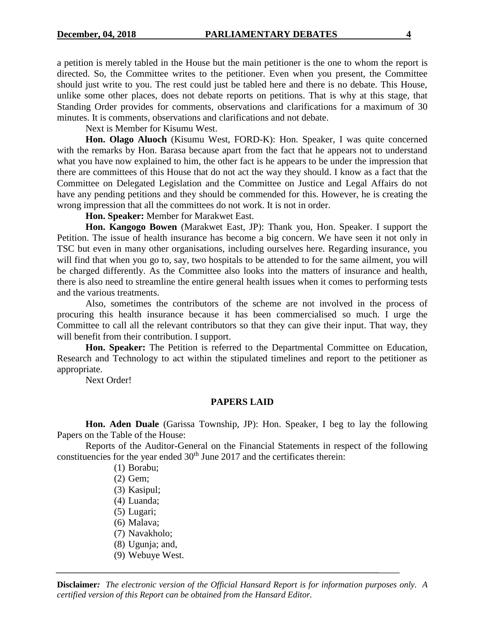a petition is merely tabled in the House but the main petitioner is the one to whom the report is directed. So, the Committee writes to the petitioner. Even when you present, the Committee should just write to you. The rest could just be tabled here and there is no debate. This House, unlike some other places, does not debate reports on petitions. That is why at this stage, that Standing Order provides for comments, observations and clarifications for a maximum of 30 minutes. It is comments, observations and clarifications and not debate.

Next is Member for Kisumu West.

**Hon. Olago Aluoch** (Kisumu West, FORD-K): Hon. Speaker, I was quite concerned with the remarks by Hon. Barasa because apart from the fact that he appears not to understand what you have now explained to him, the other fact is he appears to be under the impression that there are committees of this House that do not act the way they should. I know as a fact that the Committee on Delegated Legislation and the Committee on Justice and Legal Affairs do not have any pending petitions and they should be commended for this. However, he is creating the wrong impression that all the committees do not work. It is not in order.

**Hon. Speaker:** Member for Marakwet East.

**Hon. Kangogo Bowen** (Marakwet East, JP): Thank you, Hon. Speaker. I support the Petition. The issue of health insurance has become a big concern. We have seen it not only in TSC but even in many other organisations, including ourselves here. Regarding insurance, you will find that when you go to, say, two hospitals to be attended to for the same ailment, you will be charged differently. As the Committee also looks into the matters of insurance and health, there is also need to streamline the entire general health issues when it comes to performing tests and the various treatments.

Also, sometimes the contributors of the scheme are not involved in the process of procuring this health insurance because it has been commercialised so much. I urge the Committee to call all the relevant contributors so that they can give their input. That way, they will benefit from their contribution. I support.

**Hon. Speaker:** The Petition is referred to the Departmental Committee on Education, Research and Technology to act within the stipulated timelines and report to the petitioner as appropriate.

Next Order!

#### **PAPERS LAID**

**Hon. Aden Duale** (Garissa Township, JP): Hon. Speaker, I beg to lay the following Papers on the Table of the House:

Reports of the Auditor-General on the Financial Statements in respect of the following constituencies for the year ended  $30<sup>th</sup>$  June 2017 and the certificates therein:

(1) Borabu;

- (2) Gem;
- (3) Kasipul;
- (4) Luanda;
- (5) Lugari;
- (6) Malava;
- (7) Navakholo;
- (8) Ugunja; and,
- (9) Webuye West.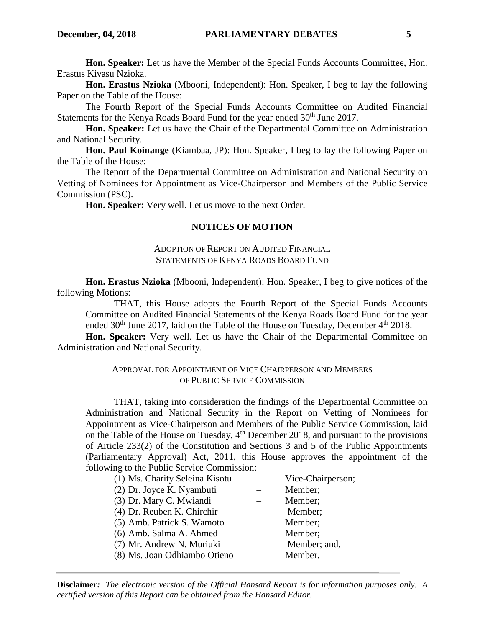**Hon. Speaker:** Let us have the Member of the Special Funds Accounts Committee, Hon. Erastus Kivasu Nzioka.

**Hon. Erastus Nzioka** (Mbooni, Independent): Hon. Speaker, I beg to lay the following Paper on the Table of the House:

The Fourth Report of the Special Funds Accounts Committee on Audited Financial Statements for the Kenya Roads Board Fund for the year ended 30<sup>th</sup> June 2017.

**Hon. Speaker:** Let us have the Chair of the Departmental Committee on Administration and National Security.

**Hon. Paul Koinange** (Kiambaa, JP): Hon. Speaker, I beg to lay the following Paper on the Table of the House:

The Report of the Departmental Committee on Administration and National Security on Vetting of Nominees for Appointment as Vice-Chairperson and Members of the Public Service Commission (PSC).

**Hon. Speaker:** Very well. Let us move to the next Order.

## **NOTICES OF MOTION**

### ADOPTION OF REPORT ON AUDITED FINANCIAL STATEMENTS OF KENYA ROADS BOARD FUND

**Hon. Erastus Nzioka** (Mbooni, Independent): Hon. Speaker, I beg to give notices of the following Motions:

THAT, this House adopts the Fourth Report of the Special Funds Accounts Committee on Audited Financial Statements of the Kenya Roads Board Fund for the year ended  $30<sup>th</sup>$  June 2017, laid on the Table of the House on Tuesday, December  $4<sup>th</sup>$  2018.

**Hon. Speaker:** Very well. Let us have the Chair of the Departmental Committee on Administration and National Security.

## APPROVAL FOR APPOINTMENT OF VICE CHAIRPERSON AND MEMBERS OF PUBLIC SERVICE COMMISSION

THAT, taking into consideration the findings of the Departmental Committee on Administration and National Security in the Report on Vetting of Nominees for Appointment as Vice-Chairperson and Members of the Public Service Commission, laid on the Table of the House on Tuesday, 4<sup>th</sup> December 2018, and pursuant to the provisions of Article 233(2) of the Constitution and Sections 3 and 5 of the Public Appointments (Parliamentary Approval) Act, 2011, this House approves the appointment of the following to the Public Service Commission:

| (1) Ms. Charity Seleina Kisotu | Vice-Chairperson; |
|--------------------------------|-------------------|
| (2) Dr. Joyce K. Nyambuti      | Member;           |
| (3) Dr. Mary C. Mwiandi        | Member;           |
| (4) Dr. Reuben K. Chirchir     | Member;           |
| (5) Amb. Patrick S. Wamoto     | Member:           |
| (6) Amb. Salma A. Ahmed        | Member;           |
| (7) Mr. Andrew N. Muriuki      | Member; and,      |
| (8) Ms. Joan Odhiambo Otieno   | Member.           |
|                                |                   |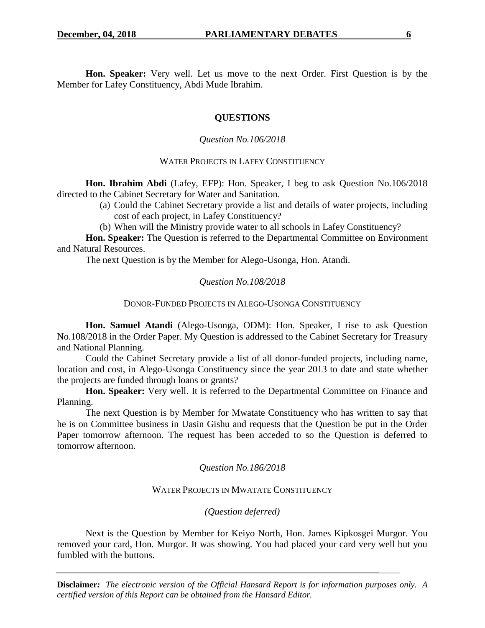**Hon. Speaker:** Very well. Let us move to the next Order. First Question is by the Member for Lafey Constituency, Abdi Mude Ibrahim.

# **QUESTIONS**

# *Question No.106/2018*

## WATER PROJECTS IN LAFEY CONSTITUENCY

**Hon. Ibrahim Abdi** (Lafey, EFP): Hon. Speaker, I beg to ask Question No.106/2018 directed to the Cabinet Secretary for Water and Sanitation.

- (a) Could the Cabinet Secretary provide a list and details of water projects, including cost of each project, in Lafey Constituency?
- (b) When will the Ministry provide water to all schools in Lafey Constituency?

**Hon. Speaker:** The Question is referred to the Departmental Committee on Environment and Natural Resources.

The next Question is by the Member for Alego-Usonga, Hon. Atandi.

# *Question No.108/2018*

## DONOR-FUNDED PROJECTS IN ALEGO-USONGA CONSTITUENCY

**Hon. Samuel Atandi** (Alego-Usonga, ODM): Hon. Speaker, I rise to ask Question No.108/2018 in the Order Paper. My Question is addressed to the Cabinet Secretary for Treasury and National Planning.

Could the Cabinet Secretary provide a list of all donor-funded projects, including name, location and cost, in Alego-Usonga Constituency since the year 2013 to date and state whether the projects are funded through loans or grants?

Hon. Speaker: Very well. It is referred to the Departmental Committee on Finance and Planning.

The next Question is by Member for Mwatate Constituency who has written to say that he is on Committee business in Uasin Gishu and requests that the Question be put in the Order Paper tomorrow afternoon. The request has been acceded to so the Question is deferred to tomorrow afternoon.

## *Question No.186/2018*

## WATER PROJECTS IN MWATATE CONSTITUENCY

# *(Question deferred)*

Next is the Question by Member for Keiyo North, Hon. James Kipkosgei Murgor. You removed your card, Hon. Murgor. It was showing. You had placed your card very well but you fumbled with the buttons.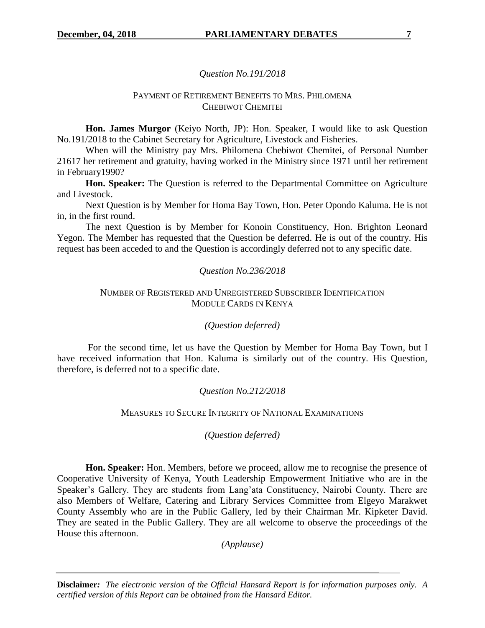## *Question No.191/2018*

### PAYMENT OF RETIREMENT BENEFITS TO MRS. PHILOMENA CHEBIWOT CHEMITEI

**Hon. James Murgor** (Keiyo North, JP): Hon. Speaker, I would like to ask Question No.191/2018 to the Cabinet Secretary for Agriculture, Livestock and Fisheries.

When will the Ministry pay Mrs. Philomena Chebiwot Chemitei, of Personal Number 21617 her retirement and gratuity, having worked in the Ministry since 1971 until her retirement in February1990?

**Hon. Speaker:** The Question is referred to the Departmental Committee on Agriculture and Livestock.

Next Question is by Member for Homa Bay Town, Hon. Peter Opondo Kaluma. He is not in, in the first round.

The next Question is by Member for Konoin Constituency, Hon. Brighton Leonard Yegon. The Member has requested that the Question be deferred. He is out of the country. His request has been acceded to and the Question is accordingly deferred not to any specific date.

## *Question No.236/2018*

## NUMBER OF REGISTERED AND UNREGISTERED SUBSCRIBER IDENTIFICATION MODULE CARDS IN KENYA

#### *(Question deferred)*

For the second time, let us have the Question by Member for Homa Bay Town, but I have received information that Hon. Kaluma is similarly out of the country. His Question, therefore, is deferred not to a specific date.

## *Question No.212/2018*

#### MEASURES TO SECURE INTEGRITY OF NATIONAL EXAMINATIONS

## *(Question deferred)*

**Hon. Speaker:** Hon. Members, before we proceed, allow me to recognise the presence of Cooperative University of Kenya, Youth Leadership Empowerment Initiative who are in the Speaker's Gallery. They are students from Lang'ata Constituency, Nairobi County. There are also Members of Welfare, Catering and Library Services Committee from Elgeyo Marakwet County Assembly who are in the Public Gallery, led by their Chairman Mr. Kipketer David. They are seated in the Public Gallery. They are all welcome to observe the proceedings of the House this afternoon.

*(Applause)*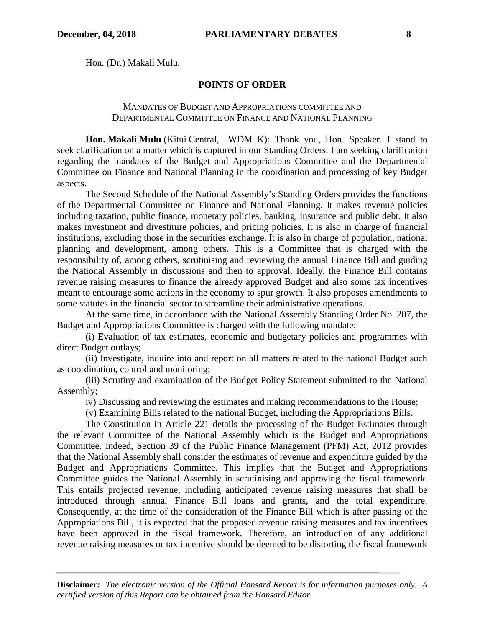Hon. (Dr.) Makali Mulu.

# **POINTS OF ORDER**

#### MANDATES OF BUDGET AND APPROPRIATIONS COMMITTEE AND DEPARTMENTAL COMMITTEE ON FINANCE AND NATIONAL PLANNING

**Hon. Makali Mulu** (Kitui Central, WDM–K): Thank you, Hon. Speaker. I stand to seek clarification on a matter which is captured in our Standing Orders. I am seeking clarification regarding the mandates of the Budget and Appropriations Committee and the Departmental Committee on Finance and National Planning in the coordination and processing of key Budget aspects.

The Second Schedule of the National Assembly's Standing Orders provides the functions of the Departmental Committee on Finance and National Planning. It makes revenue policies including taxation, public finance, monetary policies, banking, insurance and public debt. It also makes investment and divestiture policies, and pricing policies. It is also in charge of financial institutions, excluding those in the securities exchange. It is also in charge of population, national planning and development, among others. This is a Committee that is charged with the responsibility of, among others, scrutinising and reviewing the annual Finance Bill and guiding the National Assembly in discussions and then to approval. Ideally, the Finance Bill contains revenue raising measures to finance the already approved Budget and also some tax incentives meant to encourage some actions in the economy to spur growth. It also proposes amendments to some statutes in the financial sector to streamline their administrative operations.

At the same time, in accordance with the National Assembly Standing Order No. 207, the Budget and Appropriations Committee is charged with the following mandate:

(i) Evaluation of tax estimates, economic and budgetary policies and programmes with direct Budget outlays;

(ii) Investigate, inquire into and report on all matters related to the national Budget such as coordination, control and monitoring;

(iii) Scrutiny and examination of the Budget Policy Statement submitted to the National Assembly;

iv) Discussing and reviewing the estimates and making recommendations to the House;

(v) Examining Bills related to the national Budget, including the Appropriations Bills.

The Constitution in Article 221 details the processing of the Budget Estimates through the relevant Committee of the National Assembly which is the Budget and Appropriations Committee. Indeed, Section 39 of the Public Finance Management (PFM) Act, 2012 provides that the National Assembly shall consider the estimates of revenue and expenditure guided by the Budget and Appropriations Committee. This implies that the Budget and Appropriations Committee guides the National Assembly in scrutinising and approving the fiscal framework. This entails projected revenue, including anticipated revenue raising measures that shall be introduced through annual Finance Bill loans and grants, and the total expenditure. Consequently, at the time of the consideration of the Finance Bill which is after passing of the Appropriations Bill, it is expected that the proposed revenue raising measures and tax incentives have been approved in the fiscal framework. Therefore, an introduction of any additional revenue raising measures or tax incentive should be deemed to be distorting the fiscal framework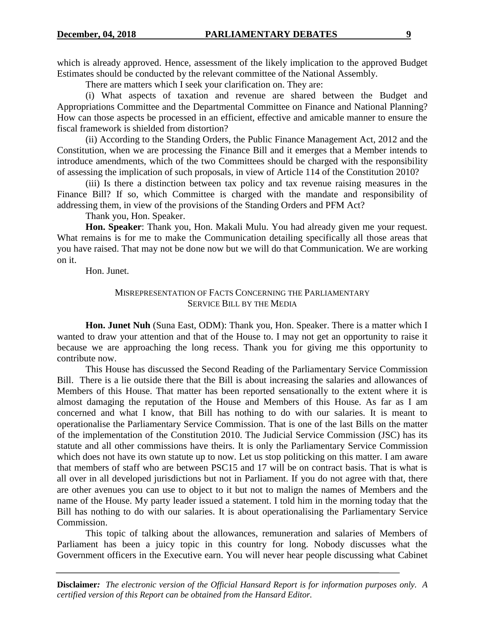which is already approved. Hence, assessment of the likely implication to the approved Budget Estimates should be conducted by the relevant committee of the National Assembly.

There are matters which I seek your clarification on. They are:

(i) What aspects of taxation and revenue are shared between the Budget and Appropriations Committee and the Departmental Committee on Finance and National Planning? How can those aspects be processed in an efficient, effective and amicable manner to ensure the fiscal framework is shielded from distortion?

(ii) According to the Standing Orders, the Public Finance Management Act, 2012 and the Constitution, when we are processing the Finance Bill and it emerges that a Member intends to introduce amendments, which of the two Committees should be charged with the responsibility of assessing the implication of such proposals, in view of Article 114 of the Constitution 2010?

(iii) Is there a distinction between tax policy and tax revenue raising measures in the Finance Bill? If so, which Committee is charged with the mandate and responsibility of addressing them, in view of the provisions of the Standing Orders and PFM Act?

Thank you, Hon. Speaker.

**Hon. Speaker**: Thank you, Hon. Makali Mulu. You had already given me your request. What remains is for me to make the Communication detailing specifically all those areas that you have raised. That may not be done now but we will do that Communication. We are working on it.

Hon. Junet.

## MISREPRESENTATION OF FACTS CONCERNING THE PARLIAMENTARY SERVICE BILL BY THE MEDIA

**Hon. Junet Nuh** (Suna East, ODM): Thank you, Hon. Speaker. There is a matter which I wanted to draw your attention and that of the House to. I may not get an opportunity to raise it because we are approaching the long recess. Thank you for giving me this opportunity to contribute now.

This House has discussed the Second Reading of the Parliamentary Service Commission Bill. There is a lie outside there that the Bill is about increasing the salaries and allowances of Members of this House. That matter has been reported sensationally to the extent where it is almost damaging the reputation of the House and Members of this House. As far as I am concerned and what I know, that Bill has nothing to do with our salaries. It is meant to operationalise the Parliamentary Service Commission. That is one of the last Bills on the matter of the implementation of the Constitution 2010. The Judicial Service Commission (JSC) has its statute and all other commissions have theirs. It is only the Parliamentary Service Commission which does not have its own statute up to now. Let us stop politicking on this matter. I am aware that members of staff who are between PSC15 and 17 will be on contract basis. That is what is all over in all developed jurisdictions but not in Parliament. If you do not agree with that, there are other avenues you can use to object to it but not to malign the names of Members and the name of the House. My party leader issued a statement. I told him in the morning today that the Bill has nothing to do with our salaries. It is about operationalising the Parliamentary Service Commission.

This topic of talking about the allowances, remuneration and salaries of Members of Parliament has been a juicy topic in this country for long. Nobody discusses what the Government officers in the Executive earn. You will never hear people discussing what Cabinet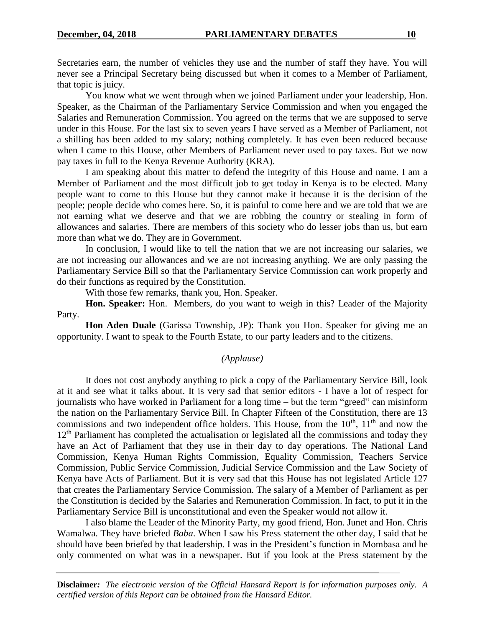Secretaries earn, the number of vehicles they use and the number of staff they have. You will never see a Principal Secretary being discussed but when it comes to a Member of Parliament, that topic is juicy.

You know what we went through when we joined Parliament under your leadership, Hon. Speaker, as the Chairman of the Parliamentary Service Commission and when you engaged the Salaries and Remuneration Commission. You agreed on the terms that we are supposed to serve under in this House. For the last six to seven years I have served as a Member of Parliament, not a shilling has been added to my salary; nothing completely. It has even been reduced because when I came to this House, other Members of Parliament never used to pay taxes. But we now pay taxes in full to the Kenya Revenue Authority (KRA).

I am speaking about this matter to defend the integrity of this House and name. I am a Member of Parliament and the most difficult job to get today in Kenya is to be elected. Many people want to come to this House but they cannot make it because it is the decision of the people; people decide who comes here. So, it is painful to come here and we are told that we are not earning what we deserve and that we are robbing the country or stealing in form of allowances and salaries. There are members of this society who do lesser jobs than us, but earn more than what we do. They are in Government.

In conclusion, I would like to tell the nation that we are not increasing our salaries, we are not increasing our allowances and we are not increasing anything. We are only passing the Parliamentary Service Bill so that the Parliamentary Service Commission can work properly and do their functions as required by the Constitution.

With those few remarks, thank you, Hon. Speaker.

**Hon. Speaker:** Hon. Members, do you want to weigh in this? Leader of the Majority Party.

**Hon Aden Duale** (Garissa Township, JP): Thank you Hon. Speaker for giving me an opportunity. I want to speak to the Fourth Estate, to our party leaders and to the citizens.

## *(Applause)*

It does not cost anybody anything to pick a copy of the Parliamentary Service Bill, look at it and see what it talks about. It is very sad that senior editors - I have a lot of respect for journalists who have worked in Parliament for a long time – but the term "greed" can misinform the nation on the Parliamentary Service Bill. In Chapter Fifteen of the Constitution, there are 13 commissions and two independent office holders. This House, from the  $10<sup>th</sup>$ ,  $11<sup>th</sup>$  and now the 12<sup>th</sup> Parliament has completed the actualisation or legislated all the commissions and today they have an Act of Parliament that they use in their day to day operations. The National Land Commission, Kenya Human Rights Commission, Equality Commission, Teachers Service Commission, Public Service Commission, Judicial Service Commission and the Law Society of Kenya have Acts of Parliament. But it is very sad that this House has not legislated Article 127 that creates the Parliamentary Service Commission. The salary of a Member of Parliament as per the Constitution is decided by the Salaries and Remuneration Commission. In fact, to put it in the Parliamentary Service Bill is unconstitutional and even the Speaker would not allow it.

I also blame the Leader of the Minority Party, my good friend, Hon. Junet and Hon. Chris Wamalwa. They have briefed *Baba*. When I saw his Press statement the other day, I said that he should have been briefed by that leadership. I was in the President's function in Mombasa and he only commented on what was in a newspaper. But if you look at the Press statement by the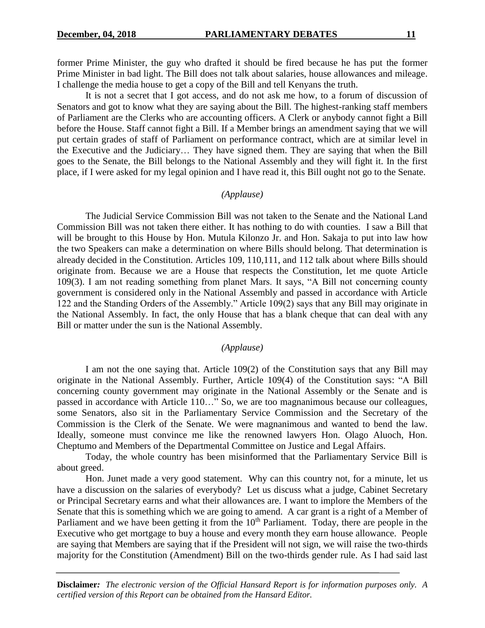former Prime Minister, the guy who drafted it should be fired because he has put the former Prime Minister in bad light. The Bill does not talk about salaries, house allowances and mileage. I challenge the media house to get a copy of the Bill and tell Kenyans the truth.

It is not a secret that I got access, and do not ask me how, to a forum of discussion of Senators and got to know what they are saying about the Bill. The highest-ranking staff members of Parliament are the Clerks who are accounting officers. A Clerk or anybody cannot fight a Bill before the House. Staff cannot fight a Bill. If a Member brings an amendment saying that we will put certain grades of staff of Parliament on performance contract, which are at similar level in the Executive and the Judiciary… They have signed them. They are saying that when the Bill goes to the Senate, the Bill belongs to the National Assembly and they will fight it. In the first place, if I were asked for my legal opinion and I have read it, this Bill ought not go to the Senate.

#### *(Applause)*

The Judicial Service Commission Bill was not taken to the Senate and the National Land Commission Bill was not taken there either. It has nothing to do with counties. I saw a Bill that will be brought to this House by Hon. Mutula Kilonzo Jr. and Hon. Sakaja to put into law how the two Speakers can make a determination on where Bills should belong. That determination is already decided in the Constitution. Articles 109, 110,111, and 112 talk about where Bills should originate from. Because we are a House that respects the Constitution, let me quote Article 109(3). I am not reading something from planet Mars. It says, "A Bill not concerning county government is considered only in the National Assembly and passed in accordance with Article 122 and the Standing Orders of the Assembly." Article 109(2) says that any Bill may originate in the National Assembly. In fact, the only House that has a blank cheque that can deal with any Bill or matter under the sun is the National Assembly.

#### *(Applause)*

I am not the one saying that. Article 109(2) of the Constitution says that any Bill may originate in the National Assembly. Further, Article 109(4) of the Constitution says: "A Bill concerning county government may originate in the National Assembly or the Senate and is passed in accordance with Article 110…" So, we are too magnanimous because our colleagues, some Senators, also sit in the Parliamentary Service Commission and the Secretary of the Commission is the Clerk of the Senate. We were magnanimous and wanted to bend the law. Ideally, someone must convince me like the renowned lawyers Hon. Olago Aluoch, Hon. Cheptumo and Members of the Departmental Committee on Justice and Legal Affairs.

Today, the whole country has been misinformed that the Parliamentary Service Bill is about greed.

Hon. Junet made a very good statement. Why can this country not, for a minute, let us have a discussion on the salaries of everybody? Let us discuss what a judge, Cabinet Secretary or Principal Secretary earns and what their allowances are. I want to implore the Members of the Senate that this is something which we are going to amend. A car grant is a right of a Member of Parliament and we have been getting it from the  $10<sup>th</sup>$  Parliament. Today, there are people in the Executive who get mortgage to buy a house and every month they earn house allowance. People are saying that Members are saying that if the President will not sign, we will raise the two-thirds majority for the Constitution (Amendment) Bill on the two-thirds gender rule. As I had said last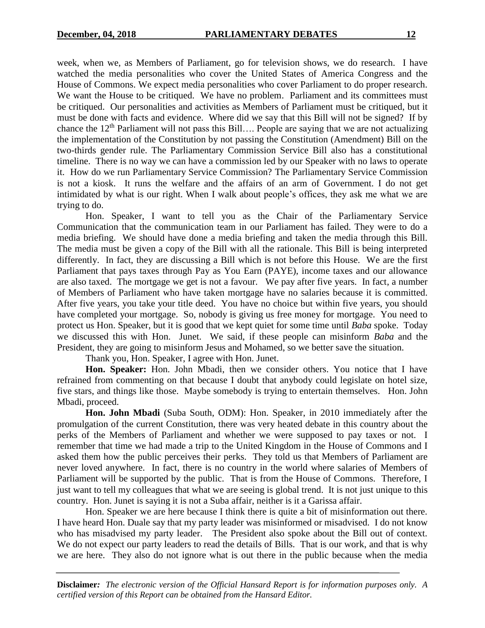week, when we, as Members of Parliament, go for television shows, we do research. I have watched the media personalities who cover the United States of America Congress and the House of Commons. We expect media personalities who cover Parliament to do proper research. We want the House to be critiqued. We have no problem. Parliament and its committees must be critiqued. Our personalities and activities as Members of Parliament must be critiqued, but it must be done with facts and evidence. Where did we say that this Bill will not be signed? If by chance the  $12<sup>th</sup>$  Parliament will not pass this Bill.... People are saying that we are not actualizing the implementation of the Constitution by not passing the Constitution (Amendment) Bill on the two-thirds gender rule. The Parliamentary Commission Service Bill also has a constitutional timeline. There is no way we can have a commission led by our Speaker with no laws to operate it. How do we run Parliamentary Service Commission? The Parliamentary Service Commission is not a kiosk. It runs the welfare and the affairs of an arm of Government. I do not get intimidated by what is our right. When I walk about people's offices, they ask me what we are trying to do.

Hon. Speaker, I want to tell you as the Chair of the Parliamentary Service Communication that the communication team in our Parliament has failed. They were to do a media briefing. We should have done a media briefing and taken the media through this Bill. The media must be given a copy of the Bill with all the rationale. This Bill is being interpreted differently. In fact, they are discussing a Bill which is not before this House. We are the first Parliament that pays taxes through Pay as You Earn (PAYE), income taxes and our allowance are also taxed. The mortgage we get is not a favour. We pay after five years. In fact, a number of Members of Parliament who have taken mortgage have no salaries because it is committed. After five years, you take your title deed. You have no choice but within five years, you should have completed your mortgage. So, nobody is giving us free money for mortgage. You need to protect us Hon. Speaker, but it is good that we kept quiet for some time until *Baba* spoke. Today we discussed this with Hon. Junet. We said, if these people can misinform *Baba* and the President, they are going to misinform Jesus and Mohamed, so we better save the situation.

Thank you, Hon. Speaker, I agree with Hon. Junet.

**Hon. Speaker:** Hon. John Mbadi, then we consider others. You notice that I have refrained from commenting on that because I doubt that anybody could legislate on hotel size, five stars, and things like those. Maybe somebody is trying to entertain themselves. Hon. John Mbadi, proceed.

**Hon. John Mbadi** (Suba South, ODM): Hon. Speaker, in 2010 immediately after the promulgation of the current Constitution, there was very heated debate in this country about the perks of the Members of Parliament and whether we were supposed to pay taxes or not. I remember that time we had made a trip to the United Kingdom in the House of Commons and I asked them how the public perceives their perks. They told us that Members of Parliament are never loved anywhere. In fact, there is no country in the world where salaries of Members of Parliament will be supported by the public. That is from the House of Commons. Therefore, I just want to tell my colleagues that what we are seeing is global trend. It is not just unique to this country. Hon. Junet is saying it is not a Suba affair, neither is it a Garissa affair.

Hon. Speaker we are here because I think there is quite a bit of misinformation out there. I have heard Hon. Duale say that my party leader was misinformed or misadvised. I do not know who has misadvised my party leader. The President also spoke about the Bill out of context. We do not expect our party leaders to read the details of Bills. That is our work, and that is why we are here. They also do not ignore what is out there in the public because when the media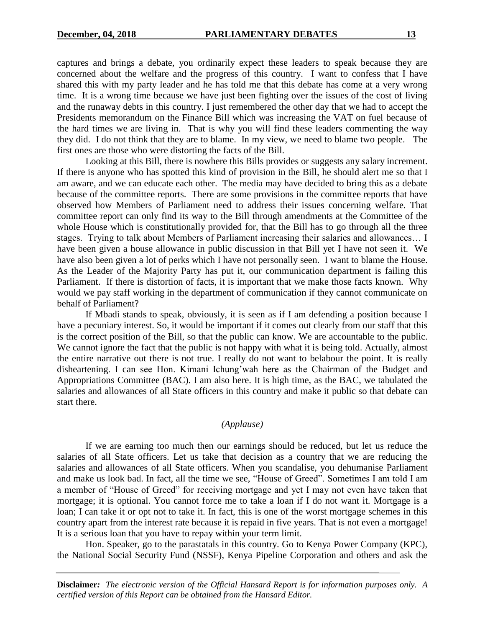captures and brings a debate, you ordinarily expect these leaders to speak because they are concerned about the welfare and the progress of this country. I want to confess that I have shared this with my party leader and he has told me that this debate has come at a very wrong time. It is a wrong time because we have just been fighting over the issues of the cost of living and the runaway debts in this country. I just remembered the other day that we had to accept the Presidents memorandum on the Finance Bill which was increasing the VAT on fuel because of the hard times we are living in. That is why you will find these leaders commenting the way they did. I do not think that they are to blame. In my view, we need to blame two people. The first ones are those who were distorting the facts of the Bill.

Looking at this Bill, there is nowhere this Bills provides or suggests any salary increment. If there is anyone who has spotted this kind of provision in the Bill, he should alert me so that I am aware, and we can educate each other. The media may have decided to bring this as a debate because of the committee reports. There are some provisions in the committee reports that have observed how Members of Parliament need to address their issues concerning welfare. That committee report can only find its way to the Bill through amendments at the Committee of the whole House which is constitutionally provided for, that the Bill has to go through all the three stages. Trying to talk about Members of Parliament increasing their salaries and allowances… I have been given a house allowance in public discussion in that Bill yet I have not seen it. We have also been given a lot of perks which I have not personally seen. I want to blame the House. As the Leader of the Majority Party has put it, our communication department is failing this Parliament. If there is distortion of facts, it is important that we make those facts known. Why would we pay staff working in the department of communication if they cannot communicate on behalf of Parliament?

If Mbadi stands to speak, obviously, it is seen as if I am defending a position because I have a pecuniary interest. So, it would be important if it comes out clearly from our staff that this is the correct position of the Bill, so that the public can know. We are accountable to the public. We cannot ignore the fact that the public is not happy with what it is being told. Actually, almost the entire narrative out there is not true. I really do not want to belabour the point. It is really disheartening. I can see Hon. Kimani Ichung'wah here as the Chairman of the Budget and Appropriations Committee (BAC). I am also here. It is high time, as the BAC, we tabulated the salaries and allowances of all State officers in this country and make it public so that debate can start there.

# *(Applause)*

If we are earning too much then our earnings should be reduced, but let us reduce the salaries of all State officers. Let us take that decision as a country that we are reducing the salaries and allowances of all State officers. When you scandalise, you dehumanise Parliament and make us look bad. In fact, all the time we see, "House of Greed". Sometimes I am told I am a member of "House of Greed" for receiving mortgage and yet I may not even have taken that mortgage; it is optional. You cannot force me to take a loan if I do not want it. Mortgage is a loan; I can take it or opt not to take it. In fact, this is one of the worst mortgage schemes in this country apart from the interest rate because it is repaid in five years. That is not even a mortgage! It is a serious loan that you have to repay within your term limit.

Hon. Speaker, go to the parastatals in this country. Go to Kenya Power Company (KPC), the National Social Security Fund (NSSF), Kenya Pipeline Corporation and others and ask the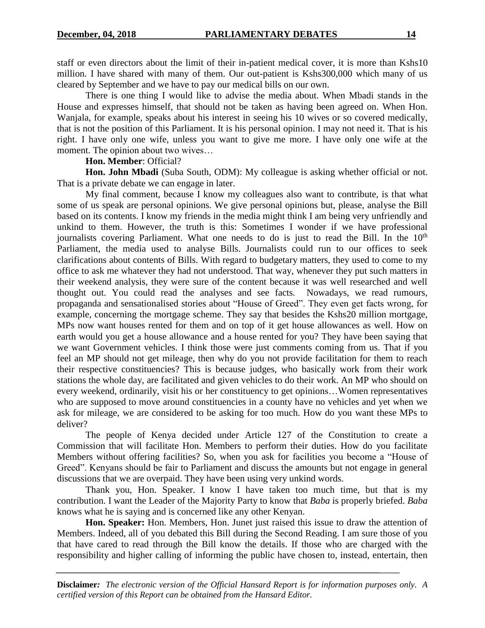staff or even directors about the limit of their in-patient medical cover, it is more than Kshs10 million. I have shared with many of them. Our out-patient is Kshs300,000 which many of us cleared by September and we have to pay our medical bills on our own.

There is one thing I would like to advise the media about. When Mbadi stands in the House and expresses himself, that should not be taken as having been agreed on. When Hon. Wanjala, for example, speaks about his interest in seeing his 10 wives or so covered medically, that is not the position of this Parliament. It is his personal opinion. I may not need it. That is his right. I have only one wife, unless you want to give me more. I have only one wife at the moment. The opinion about two wives…

## **Hon. Member**: Official?

**Hon. John Mbadi** (Suba South, ODM): My colleague is asking whether official or not. That is a private debate we can engage in later.

My final comment, because I know my colleagues also want to contribute, is that what some of us speak are personal opinions. We give personal opinions but, please, analyse the Bill based on its contents. I know my friends in the media might think I am being very unfriendly and unkind to them. However, the truth is this: Sometimes I wonder if we have professional journalists covering Parliament. What one needs to do is just to read the Bill. In the 10<sup>th</sup> Parliament, the media used to analyse Bills. Journalists could run to our offices to seek clarifications about contents of Bills. With regard to budgetary matters, they used to come to my office to ask me whatever they had not understood. That way, whenever they put such matters in their weekend analysis, they were sure of the content because it was well researched and well thought out. You could read the analyses and see facts. Nowadays, we read rumours, propaganda and sensationalised stories about "House of Greed". They even get facts wrong, for example, concerning the mortgage scheme. They say that besides the Kshs20 million mortgage, MPs now want houses rented for them and on top of it get house allowances as well. How on earth would you get a house allowance and a house rented for you? They have been saying that we want Government vehicles. I think those were just comments coming from us. That if you feel an MP should not get mileage, then why do you not provide facilitation for them to reach their respective constituencies? This is because judges, who basically work from their work stations the whole day, are facilitated and given vehicles to do their work. An MP who should on every weekend, ordinarily, visit his or her constituency to get opinions…Women representatives who are supposed to move around constituencies in a county have no vehicles and yet when we ask for mileage, we are considered to be asking for too much. How do you want these MPs to deliver?

The people of Kenya decided under Article 127 of the Constitution to create a Commission that will facilitate Hon. Members to perform their duties. How do you facilitate Members without offering facilities? So, when you ask for facilities you become a "House of Greed". Kenyans should be fair to Parliament and discuss the amounts but not engage in general discussions that we are overpaid. They have been using very unkind words.

Thank you, Hon. Speaker. I know I have taken too much time, but that is my contribution. I want the Leader of the Majority Party to know that *Baba* is properly briefed. *Baba* knows what he is saying and is concerned like any other Kenyan.

**Hon. Speaker:** Hon. Members, Hon. Junet just raised this issue to draw the attention of Members. Indeed, all of you debated this Bill during the Second Reading. I am sure those of you that have cared to read through the Bill know the details. If those who are charged with the responsibility and higher calling of informing the public have chosen to, instead, entertain, then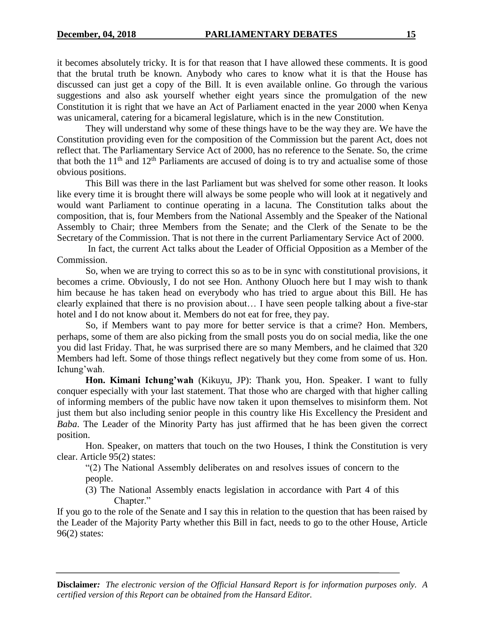it becomes absolutely tricky. It is for that reason that I have allowed these comments. It is good that the brutal truth be known. Anybody who cares to know what it is that the House has discussed can just get a copy of the Bill. It is even available online. Go through the various suggestions and also ask yourself whether eight years since the promulgation of the new Constitution it is right that we have an Act of Parliament enacted in the year 2000 when Kenya was unicameral, catering for a bicameral legislature, which is in the new Constitution.

They will understand why some of these things have to be the way they are. We have the Constitution providing even for the composition of the Commission but the parent Act, does not reflect that. The Parliamentary Service Act of 2000, has no reference to the Senate. So, the crime that both the  $11<sup>th</sup>$  and  $12<sup>th</sup>$  Parliaments are accused of doing is to try and actualise some of those obvious positions.

This Bill was there in the last Parliament but was shelved for some other reason. It looks like every time it is brought there will always be some people who will look at it negatively and would want Parliament to continue operating in a lacuna. The Constitution talks about the composition, that is, four Members from the National Assembly and the Speaker of the National Assembly to Chair; three Members from the Senate; and the Clerk of the Senate to be the Secretary of the Commission. That is not there in the current Parliamentary Service Act of 2000.

In fact, the current Act talks about the Leader of Official Opposition as a Member of the Commission.

So, when we are trying to correct this so as to be in sync with constitutional provisions, it becomes a crime. Obviously, I do not see Hon. Anthony Oluoch here but I may wish to thank him because he has taken head on everybody who has tried to argue about this Bill. He has clearly explained that there is no provision about… I have seen people talking about a five-star hotel and I do not know about it. Members do not eat for free, they pay.

So, if Members want to pay more for better service is that a crime? Hon. Members, perhaps, some of them are also picking from the small posts you do on social media, like the one you did last Friday. That, he was surprised there are so many Members, and he claimed that 320 Members had left. Some of those things reflect negatively but they come from some of us. Hon. Ichung'wah.

**Hon. Kimani Ichung'wah** (Kikuyu, JP): Thank you, Hon. Speaker. I want to fully conquer especially with your last statement. That those who are charged with that higher calling of informing members of the public have now taken it upon themselves to misinform them. Not just them but also including senior people in this country like His Excellency the President and *Baba*. The Leader of the Minority Party has just affirmed that he has been given the correct position.

Hon. Speaker, on matters that touch on the two Houses, I think the Constitution is very clear. Article 95(2) states:

"(2) The National Assembly deliberates on and resolves issues of concern to the people.

(3) The National Assembly enacts legislation in accordance with Part 4 of this Chapter."

If you go to the role of the Senate and I say this in relation to the question that has been raised by the Leader of the Majority Party whether this Bill in fact, needs to go to the other House, Article 96(2) states: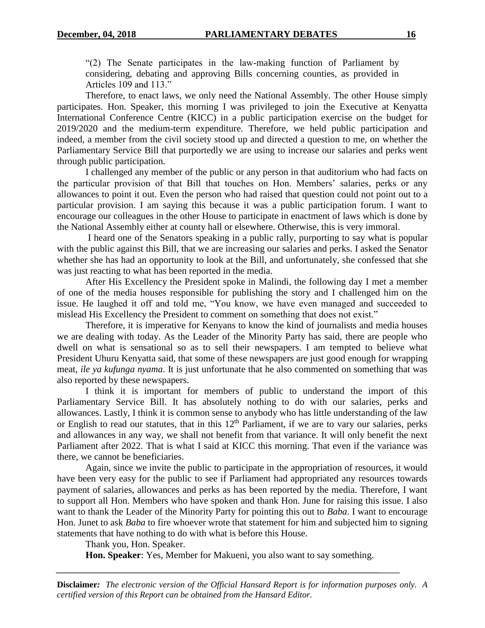"(2) The Senate participates in the law-making function of Parliament by considering, debating and approving Bills concerning counties, as provided in Articles 109 and 113."

Therefore, to enact laws, we only need the National Assembly. The other House simply participates. Hon. Speaker, this morning I was privileged to join the Executive at Kenyatta International Conference Centre (KICC) in a public participation exercise on the budget for 2019/2020 and the medium-term expenditure. Therefore, we held public participation and indeed, a member from the civil society stood up and directed a question to me, on whether the Parliamentary Service Bill that purportedly we are using to increase our salaries and perks went through public participation.

I challenged any member of the public or any person in that auditorium who had facts on the particular provision of that Bill that touches on Hon. Members' salaries, perks or any allowances to point it out. Even the person who had raised that question could not point out to a particular provision. I am saying this because it was a public participation forum. I want to encourage our colleagues in the other House to participate in enactment of laws which is done by the National Assembly either at county hall or elsewhere. Otherwise, this is very immoral.

I heard one of the Senators speaking in a public rally, purporting to say what is popular with the public against this Bill, that we are increasing our salaries and perks. I asked the Senator whether she has had an opportunity to look at the Bill, and unfortunately, she confessed that she was just reacting to what has been reported in the media.

After His Excellency the President spoke in Malindi, the following day I met a member of one of the media houses responsible for publishing the story and I challenged him on the issue. He laughed it off and told me, "You know, we have even managed and succeeded to mislead His Excellency the President to comment on something that does not exist."

Therefore, it is imperative for Kenyans to know the kind of journalists and media houses we are dealing with today. As the Leader of the Minority Party has said, there are people who dwell on what is sensational so as to sell their newspapers. I am tempted to believe what President Uhuru Kenyatta said, that some of these newspapers are just good enough for wrapping meat, *ile ya kufunga nyama*. It is just unfortunate that he also commented on something that was also reported by these newspapers.

I think it is important for members of public to understand the import of this Parliamentary Service Bill. It has absolutely nothing to do with our salaries, perks and allowances. Lastly, I think it is common sense to anybody who has little understanding of the law or English to read our statutes, that in this  $12<sup>th</sup>$  Parliament, if we are to vary our salaries, perks and allowances in any way, we shall not benefit from that variance. It will only benefit the next Parliament after 2022. That is what I said at KICC this morning. That even if the variance was there, we cannot be beneficiaries.

Again, since we invite the public to participate in the appropriation of resources, it would have been very easy for the public to see if Parliament had appropriated any resources towards payment of salaries, allowances and perks as has been reported by the media. Therefore, I want to support all Hon. Members who have spoken and thank Hon. June for raising this issue. I also want to thank the Leader of the Minority Party for pointing this out to *Baba*. I want to encourage Hon. Junet to ask *Baba* to fire whoever wrote that statement for him and subjected him to signing statements that have nothing to do with what is before this House.

Thank you, Hon. Speaker.

**Hon. Speaker**: Yes, Member for Makueni, you also want to say something.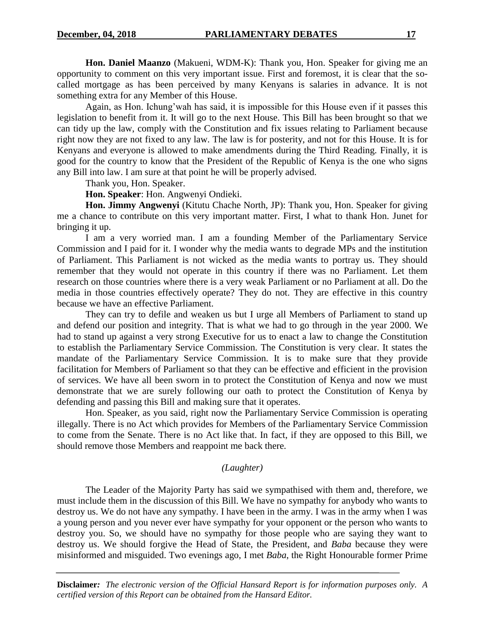**Hon. Daniel Maanzo** (Makueni, WDM-K): Thank you, Hon. Speaker for giving me an opportunity to comment on this very important issue. First and foremost, it is clear that the socalled mortgage as has been perceived by many Kenyans is salaries in advance. It is not something extra for any Member of this House.

Again, as Hon. Ichung'wah has said, it is impossible for this House even if it passes this legislation to benefit from it. It will go to the next House. This Bill has been brought so that we can tidy up the law, comply with the Constitution and fix issues relating to Parliament because right now they are not fixed to any law. The law is for posterity, and not for this House. It is for Kenyans and everyone is allowed to make amendments during the Third Reading. Finally, it is good for the country to know that the President of the Republic of Kenya is the one who signs any Bill into law. I am sure at that point he will be properly advised.

Thank you, Hon. Speaker.

**Hon. Speaker**: Hon. Angwenyi Ondieki.

**Hon. Jimmy Angwenyi** (Kitutu Chache North, JP): Thank you, Hon. Speaker for giving me a chance to contribute on this very important matter. First, I what to thank Hon. Junet for bringing it up.

I am a very worried man. I am a founding Member of the Parliamentary Service Commission and I paid for it. I wonder why the media wants to degrade MPs and the institution of Parliament. This Parliament is not wicked as the media wants to portray us. They should remember that they would not operate in this country if there was no Parliament. Let them research on those countries where there is a very weak Parliament or no Parliament at all. Do the media in those countries effectively operate? They do not. They are effective in this country because we have an effective Parliament.

They can try to defile and weaken us but I urge all Members of Parliament to stand up and defend our position and integrity. That is what we had to go through in the year 2000. We had to stand up against a very strong Executive for us to enact a law to change the Constitution to establish the Parliamentary Service Commission. The Constitution is very clear. It states the mandate of the Parliamentary Service Commission. It is to make sure that they provide facilitation for Members of Parliament so that they can be effective and efficient in the provision of services. We have all been sworn in to protect the Constitution of Kenya and now we must demonstrate that we are surely following our oath to protect the Constitution of Kenya by defending and passing this Bill and making sure that it operates.

Hon. Speaker, as you said, right now the Parliamentary Service Commission is operating illegally. There is no Act which provides for Members of the Parliamentary Service Commission to come from the Senate. There is no Act like that. In fact, if they are opposed to this Bill, we should remove those Members and reappoint me back there.

#### *(Laughter)*

The Leader of the Majority Party has said we sympathised with them and, therefore, we must include them in the discussion of this Bill. We have no sympathy for anybody who wants to destroy us. We do not have any sympathy. I have been in the army. I was in the army when I was a young person and you never ever have sympathy for your opponent or the person who wants to destroy you. So, we should have no sympathy for those people who are saying they want to destroy us. We should forgive the Head of State, the President, and *Baba* because they were misinformed and misguided. Two evenings ago, I met *Baba*, the Right Honourable former Prime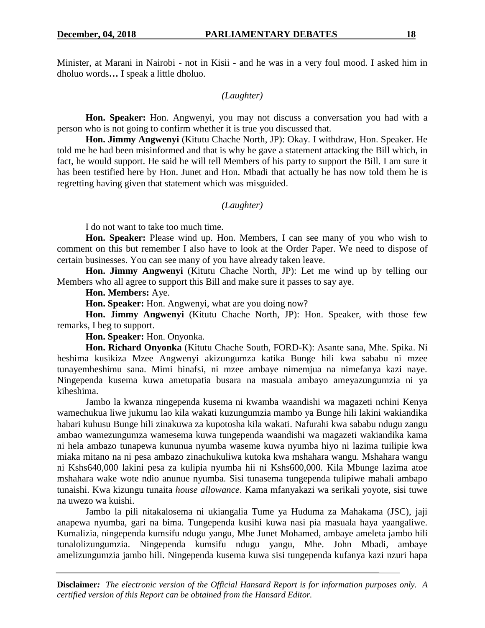Minister, at Marani in Nairobi - not in Kisii - and he was in a very foul mood. I asked him in dholuo words**…** I speak a little dholuo.

## *(Laughter)*

**Hon. Speaker:** Hon. Angwenyi, you may not discuss a conversation you had with a person who is not going to confirm whether it is true you discussed that.

**Hon. Jimmy Angwenyi** (Kitutu Chache North, JP): Okay. I withdraw, Hon. Speaker. He told me he had been misinformed and that is why he gave a statement attacking the Bill which, in fact, he would support. He said he will tell Members of his party to support the Bill. I am sure it has been testified here by Hon. Junet and Hon. Mbadi that actually he has now told them he is regretting having given that statement which was misguided.

## *(Laughter)*

I do not want to take too much time.

**Hon. Speaker:** Please wind up. Hon. Members, I can see many of you who wish to comment on this but remember I also have to look at the Order Paper. We need to dispose of certain businesses. You can see many of you have already taken leave.

**Hon. Jimmy Angwenyi** (Kitutu Chache North, JP): Let me wind up by telling our Members who all agree to support this Bill and make sure it passes to say aye.

**Hon. Members:** Aye.

**Hon. Speaker:** Hon. Angwenyi, what are you doing now?

**Hon. Jimmy Angwenyi** (Kitutu Chache North, JP): Hon. Speaker, with those few remarks, I beg to support.

**Hon. Speaker:** Hon. Onyonka.

**Hon. Richard Onyonka** (Kitutu Chache South, FORD-K): Asante sana, Mhe. Spika. Ni heshima kusikiza Mzee Angwenyi akizungumza katika Bunge hili kwa sababu ni mzee tunayemheshimu sana. Mimi binafsi, ni mzee ambaye nimemjua na nimefanya kazi naye. Ningependa kusema kuwa ametupatia busara na masuala ambayo ameyazungumzia ni ya kiheshima.

Jambo la kwanza ningependa kusema ni kwamba waandishi wa magazeti nchini Kenya wamechukua liwe jukumu lao kila wakati kuzungumzia mambo ya Bunge hili lakini wakiandika habari kuhusu Bunge hili zinakuwa za kupotosha kila wakati. Nafurahi kwa sababu ndugu zangu ambao wamezungumza wamesema kuwa tungependa waandishi wa magazeti wakiandika kama ni hela ambazo tunapewa kununua nyumba waseme kuwa nyumba hiyo ni lazima tuilipie kwa miaka mitano na ni pesa ambazo zinachukuliwa kutoka kwa mshahara wangu. Mshahara wangu ni Kshs640,000 lakini pesa za kulipia nyumba hii ni Kshs600,000. Kila Mbunge lazima atoe mshahara wake wote ndio anunue nyumba. Sisi tunasema tungependa tulipiwe mahali ambapo tunaishi. Kwa kizungu tunaita *house allowance*. Kama mfanyakazi wa serikali yoyote, sisi tuwe na uwezo wa kuishi.

Jambo la pili nitakalosema ni ukiangalia Tume ya Huduma za Mahakama (JSC), jaji anapewa nyumba, gari na bima. Tungependa kusihi kuwa nasi pia masuala haya yaangaliwe. Kumalizia, ningependa kumsifu ndugu yangu, Mhe Junet Mohamed, ambaye ameleta jambo hili tunalolizungumzia. Ningependa kumsifu ndugu yangu, Mhe. John Mbadi, ambaye amelizungumzia jambo hili. Ningependa kusema kuwa sisi tungependa kufanya kazi nzuri hapa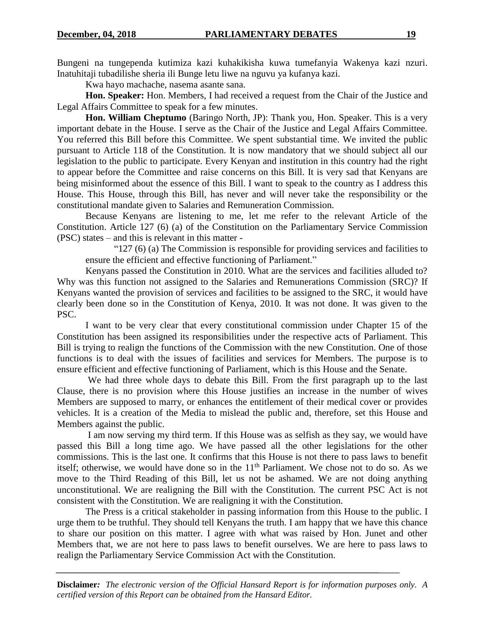Bungeni na tungependa kutimiza kazi kuhakikisha kuwa tumefanyia Wakenya kazi nzuri. Inatuhitaji tubadilishe sheria ili Bunge letu liwe na nguvu ya kufanya kazi.

Kwa hayo machache, nasema asante sana.

**Hon. Speaker:** Hon. Members, I had received a request from the Chair of the Justice and Legal Affairs Committee to speak for a few minutes.

**Hon. William Cheptumo** (Baringo North, JP): Thank you, Hon. Speaker. This is a very important debate in the House. I serve as the Chair of the Justice and Legal Affairs Committee. You referred this Bill before this Committee. We spent substantial time. We invited the public pursuant to Article 118 of the Constitution. It is now mandatory that we should subject all our legislation to the public to participate. Every Kenyan and institution in this country had the right to appear before the Committee and raise concerns on this Bill. It is very sad that Kenyans are being misinformed about the essence of this Bill. I want to speak to the country as I address this House. This House, through this Bill, has never and will never take the responsibility or the constitutional mandate given to Salaries and Remuneration Commission.

Because Kenyans are listening to me, let me refer to the relevant Article of the Constitution. Article 127 (6) (a) of the Constitution on the Parliamentary Service Commission (PSC) states – and this is relevant in this matter -

"127 (6) (a) The Commission is responsible for providing services and facilities to ensure the efficient and effective functioning of Parliament."

Kenyans passed the Constitution in 2010. What are the services and facilities alluded to? Why was this function not assigned to the Salaries and Remunerations Commission (SRC)? If Kenyans wanted the provision of services and facilities to be assigned to the SRC, it would have clearly been done so in the Constitution of Kenya, 2010. It was not done. It was given to the PSC.

I want to be very clear that every constitutional commission under Chapter 15 of the Constitution has been assigned its responsibilities under the respective acts of Parliament. This Bill is trying to realign the functions of the Commission with the new Constitution. One of those functions is to deal with the issues of facilities and services for Members. The purpose is to ensure efficient and effective functioning of Parliament, which is this House and the Senate.

We had three whole days to debate this Bill. From the first paragraph up to the last Clause, there is no provision where this House justifies an increase in the number of wives Members are supposed to marry, or enhances the entitlement of their medical cover or provides vehicles. It is a creation of the Media to mislead the public and, therefore, set this House and Members against the public.

I am now serving my third term. If this House was as selfish as they say, we would have passed this Bill a long time ago. We have passed all the other legislations for the other commissions. This is the last one. It confirms that this House is not there to pass laws to benefit itself; otherwise, we would have done so in the  $11<sup>th</sup>$  Parliament. We chose not to do so. As we move to the Third Reading of this Bill, let us not be ashamed. We are not doing anything unconstitutional. We are realigning the Bill with the Constitution. The current PSC Act is not consistent with the Constitution. We are realigning it with the Constitution.

The Press is a critical stakeholder in passing information from this House to the public. I urge them to be truthful. They should tell Kenyans the truth. I am happy that we have this chance to share our position on this matter. I agree with what was raised by Hon. Junet and other Members that, we are not here to pass laws to benefit ourselves. We are here to pass laws to realign the Parliamentary Service Commission Act with the Constitution.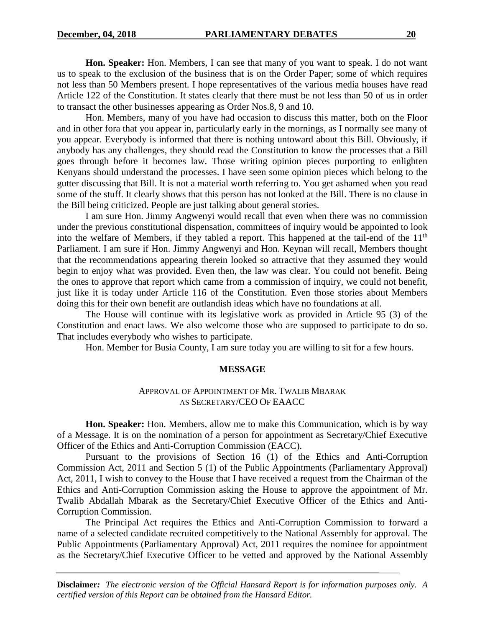**Hon. Speaker:** Hon. Members, I can see that many of you want to speak. I do not want us to speak to the exclusion of the business that is on the Order Paper; some of which requires not less than 50 Members present. I hope representatives of the various media houses have read Article 122 of the Constitution. It states clearly that there must be not less than 50 of us in order to transact the other businesses appearing as Order Nos.8, 9 and 10.

Hon. Members, many of you have had occasion to discuss this matter, both on the Floor and in other fora that you appear in, particularly early in the mornings, as I normally see many of you appear. Everybody is informed that there is nothing untoward about this Bill. Obviously, if anybody has any challenges, they should read the Constitution to know the processes that a Bill goes through before it becomes law. Those writing opinion pieces purporting to enlighten Kenyans should understand the processes. I have seen some opinion pieces which belong to the gutter discussing that Bill. It is not a material worth referring to. You get ashamed when you read some of the stuff. It clearly shows that this person has not looked at the Bill. There is no clause in the Bill being criticized. People are just talking about general stories.

I am sure Hon. Jimmy Angwenyi would recall that even when there was no commission under the previous constitutional dispensation, committees of inquiry would be appointed to look into the welfare of Members, if they tabled a report. This happened at the tail-end of the 11<sup>th</sup> Parliament. I am sure if Hon. Jimmy Angwenyi and Hon. Keynan will recall, Members thought that the recommendations appearing therein looked so attractive that they assumed they would begin to enjoy what was provided. Even then, the law was clear. You could not benefit. Being the ones to approve that report which came from a commission of inquiry, we could not benefit, just like it is today under Article 116 of the Constitution. Even those stories about Members doing this for their own benefit are outlandish ideas which have no foundations at all.

The House will continue with its legislative work as provided in Article 95 (3) of the Constitution and enact laws. We also welcome those who are supposed to participate to do so. That includes everybody who wishes to participate.

Hon. Member for Busia County, I am sure today you are willing to sit for a few hours.

#### **MESSAGE**

#### APPROVAL OF APPOINTMENT OF MR. TWALIB MBARAK AS SECRETARY/CEO OF EAACC

**Hon. Speaker:** Hon. Members, allow me to make this Communication, which is by way of a Message. It is on the nomination of a person for appointment as Secretary/Chief Executive Officer of the Ethics and Anti-Corruption Commission (EACC).

Pursuant to the provisions of Section 16 (1) of the Ethics and Anti-Corruption Commission Act, 2011 and Section 5 (1) of the Public Appointments (Parliamentary Approval) Act, 2011, I wish to convey to the House that I have received a request from the Chairman of the Ethics and Anti-Corruption Commission asking the House to approve the appointment of Mr. Twalib Abdallah Mbarak as the Secretary/Chief Executive Officer of the Ethics and Anti-Corruption Commission.

The Principal Act requires the Ethics and Anti-Corruption Commission to forward a name of a selected candidate recruited competitively to the National Assembly for approval. The Public Appointments (Parliamentary Approval) Act, 2011 requires the nominee for appointment as the Secretary/Chief Executive Officer to be vetted and approved by the National Assembly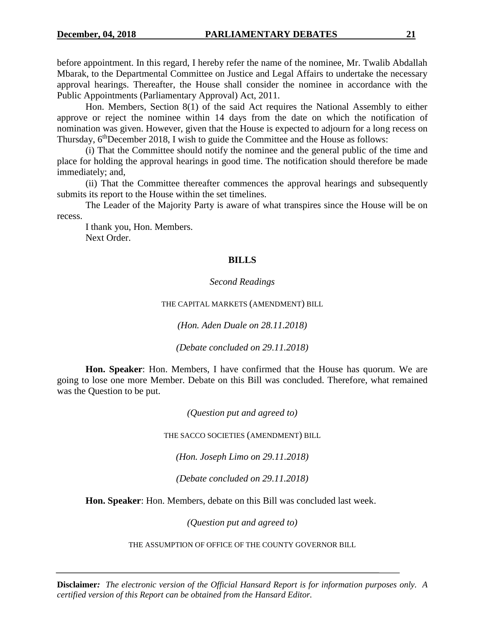before appointment. In this regard, I hereby refer the name of the nominee, Mr. Twalib Abdallah Mbarak, to the Departmental Committee on Justice and Legal Affairs to undertake the necessary approval hearings. Thereafter, the House shall consider the nominee in accordance with the Public Appointments (Parliamentary Approval) Act, 2011.

Hon. Members, Section 8(1) of the said Act requires the National Assembly to either approve or reject the nominee within 14 days from the date on which the notification of nomination was given. However, given that the House is expected to adjourn for a long recess on Thursday, 6<sup>th</sup>December 2018, I wish to guide the Committee and the House as follows:

(i) That the Committee should notify the nominee and the general public of the time and place for holding the approval hearings in good time. The notification should therefore be made immediately; and,

(ii) That the Committee thereafter commences the approval hearings and subsequently submits its report to the House within the set timelines.

The Leader of the Majority Party is aware of what transpires since the House will be on recess.

I thank you, Hon. Members. Next Order.

# **BILLS**

## *Second Readings*

THE CAPITAL MARKETS (AMENDMENT) BILL

*(Hon. Aden Duale on 28.11.2018)*

*(Debate concluded on 29.11.2018)*

**Hon. Speaker**: Hon. Members, I have confirmed that the House has quorum. We are going to lose one more Member. Debate on this Bill was concluded. Therefore, what remained was the Question to be put.

*(Question put and agreed to)*

THE SACCO SOCIETIES (AMENDMENT) BILL

*(Hon. Joseph Limo on 29.11.2018)*

*(Debate concluded on 29.11.2018)*

**Hon. Speaker**: Hon. Members, debate on this Bill was concluded last week.

*(Question put and agreed to)*

THE ASSUMPTION OF OFFICE OF THE COUNTY GOVERNOR BILL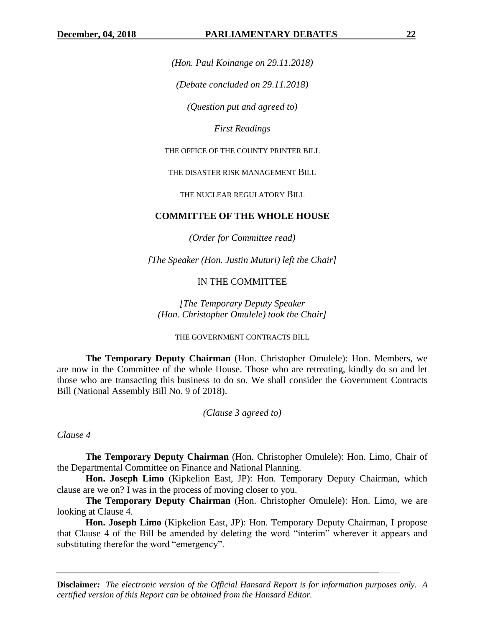*(Hon. Paul Koinange on 29.11.2018)*

*(Debate concluded on 29.11.2018)*

*(Question put and agreed to)*

*First Readings*

THE OFFICE OF THE COUNTY PRINTER BILL

THE DISASTER RISK MANAGEMENT BILL

THE NUCLEAR REGULATORY BILL

## **COMMITTEE OF THE WHOLE HOUSE**

*(Order for Committee read)*

*[The Speaker (Hon. Justin Muturi) left the Chair]*

## IN THE COMMITTEE

*[The Temporary Deputy Speaker (Hon. Christopher Omulele) took the Chair]*

THE GOVERNMENT CONTRACTS BILL

**The Temporary Deputy Chairman** (Hon. Christopher Omulele): Hon. Members, we are now in the Committee of the whole House. Those who are retreating, kindly do so and let those who are transacting this business to do so. We shall consider the Government Contracts Bill (National Assembly Bill No. 9 of 2018).

*(Clause 3 agreed to)*

*Clause 4*

**The Temporary Deputy Chairman** (Hon. Christopher Omulele): Hon. Limo, Chair of the Departmental Committee on Finance and National Planning.

**Hon. Joseph Limo** (Kipkelion East, JP): Hon. Temporary Deputy Chairman, which clause are we on? I was in the process of moving closer to you.

**The Temporary Deputy Chairman** (Hon. Christopher Omulele): Hon. Limo, we are looking at Clause 4.

**Hon. Joseph Limo** (Kipkelion East, JP): Hon. Temporary Deputy Chairman, I propose that Clause 4 of the Bill be amended by deleting the word "interim" wherever it appears and substituting therefor the word "emergency".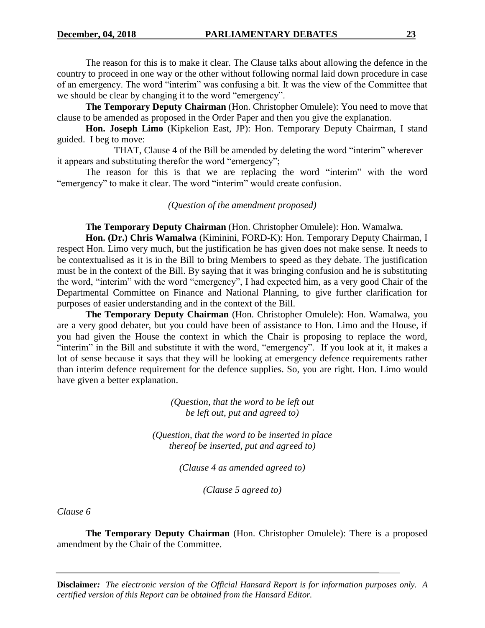The reason for this is to make it clear. The Clause talks about allowing the defence in the country to proceed in one way or the other without following normal laid down procedure in case of an emergency. The word "interim" was confusing a bit. It was the view of the Committee that we should be clear by changing it to the word "emergency".

**The Temporary Deputy Chairman** (Hon. Christopher Omulele): You need to move that clause to be amended as proposed in the Order Paper and then you give the explanation.

**Hon. Joseph Limo** (Kipkelion East, JP): Hon. Temporary Deputy Chairman, I stand guided. I beg to move:

THAT, Clause 4 of the Bill be amended by deleting the word "interim" wherever it appears and substituting therefor the word "emergency";

The reason for this is that we are replacing the word "interim" with the word "emergency" to make it clear. The word "interim" would create confusion.

*(Question of the amendment proposed)*

**The Temporary Deputy Chairman** (Hon. Christopher Omulele): Hon. Wamalwa.

**Hon. (Dr.) Chris Wamalwa** (Kiminini, FORD-K): Hon. Temporary Deputy Chairman, I respect Hon. Limo very much, but the justification he has given does not make sense. It needs to be contextualised as it is in the Bill to bring Members to speed as they debate. The justification must be in the context of the Bill. By saying that it was bringing confusion and he is substituting the word, "interim" with the word "emergency", I had expected him, as a very good Chair of the Departmental Committee on Finance and National Planning, to give further clarification for purposes of easier understanding and in the context of the Bill.

**The Temporary Deputy Chairman** (Hon. Christopher Omulele): Hon. Wamalwa, you are a very good debater, but you could have been of assistance to Hon. Limo and the House, if you had given the House the context in which the Chair is proposing to replace the word, "interim" in the Bill and substitute it with the word, "emergency". If you look at it, it makes a lot of sense because it says that they will be looking at emergency defence requirements rather than interim defence requirement for the defence supplies. So, you are right. Hon. Limo would have given a better explanation.

> *(Question, that the word to be left out be left out, put and agreed to)*

*(Question, that the word to be inserted in place thereof be inserted, put and agreed to)*

*(Clause 4 as amended agreed to)*

*(Clause 5 agreed to)*

*Clause 6*

**The Temporary Deputy Chairman** (Hon. Christopher Omulele): There is a proposed amendment by the Chair of the Committee.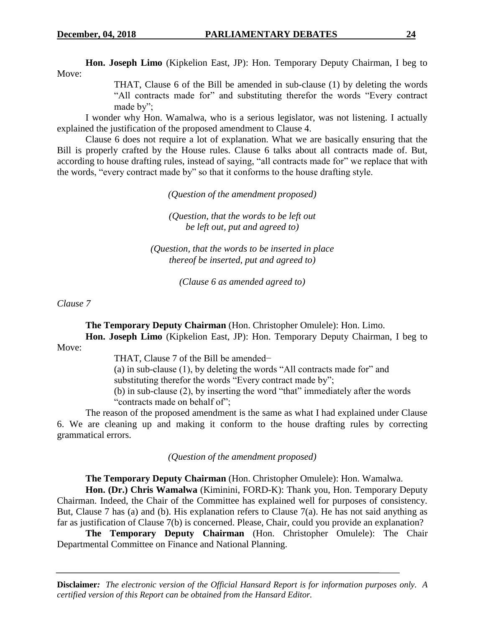**Hon. Joseph Limo** (Kipkelion East, JP): Hon. Temporary Deputy Chairman, I beg to Move:

> THAT, Clause 6 of the Bill be amended in sub-clause (1) by deleting the words "All contracts made for" and substituting therefor the words "Every contract made by";

I wonder why Hon. Wamalwa, who is a serious legislator, was not listening. I actually explained the justification of the proposed amendment to Clause 4.

Clause 6 does not require a lot of explanation. What we are basically ensuring that the Bill is properly crafted by the House rules. Clause 6 talks about all contracts made of. But, according to house drafting rules, instead of saying, "all contracts made for" we replace that with the words, "every contract made by" so that it conforms to the house drafting style.

*(Question of the amendment proposed)*

*(Question, that the words to be left out be left out, put and agreed to)*

*(Question, that the words to be inserted in place thereof be inserted, put and agreed to)*

*(Clause 6 as amended agreed to)*

*Clause 7*

**The Temporary Deputy Chairman** (Hon. Christopher Omulele): Hon. Limo. **Hon. Joseph Limo** (Kipkelion East, JP): Hon. Temporary Deputy Chairman, I beg to

Move:

THAT, Clause 7 of the Bill be amended−

(a) in sub-clause (1), by deleting the words "All contracts made for" and

substituting therefor the words "Every contract made by";

(b) in sub-clause (2), by inserting the word "that" immediately after the words "contracts made on behalf of":

The reason of the proposed amendment is the same as what I had explained under Clause 6. We are cleaning up and making it conform to the house drafting rules by correcting grammatical errors.

*(Question of the amendment proposed)*

**The Temporary Deputy Chairman** (Hon. Christopher Omulele): Hon. Wamalwa.

**Hon. (Dr.) Chris Wamalwa** (Kiminini, FORD-K): Thank you, Hon. Temporary Deputy Chairman. Indeed, the Chair of the Committee has explained well for purposes of consistency. But, Clause 7 has (a) and (b). His explanation refers to Clause 7(a). He has not said anything as far as justification of Clause 7(b) is concerned. Please, Chair, could you provide an explanation?

**The Temporary Deputy Chairman** (Hon. Christopher Omulele): The Chair Departmental Committee on Finance and National Planning.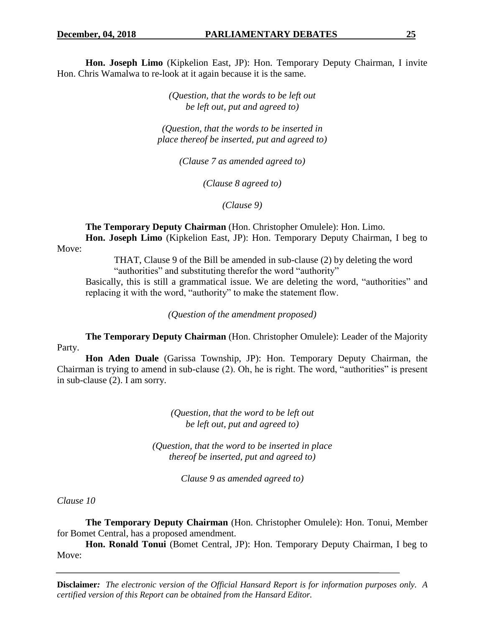**Hon. Joseph Limo** (Kipkelion East, JP): Hon. Temporary Deputy Chairman, I invite Hon. Chris Wamalwa to re-look at it again because it is the same.

> *(Question, that the words to be left out be left out, put and agreed to)*

*(Question, that the words to be inserted in place thereof be inserted, put and agreed to)*

*(Clause 7 as amended agreed to)*

*(Clause 8 agreed to)*

*(Clause 9)*

**The Temporary Deputy Chairman** (Hon. Christopher Omulele): Hon. Limo. **Hon. Joseph Limo** (Kipkelion East, JP): Hon. Temporary Deputy Chairman, I beg to

Move:

THAT, Clause 9 of the Bill be amended in sub-clause (2) by deleting the word "authorities" and substituting therefor the word "authority"

Basically, this is still a grammatical issue. We are deleting the word, "authorities" and replacing it with the word, "authority" to make the statement flow.

*(Question of the amendment proposed)*

**The Temporary Deputy Chairman** (Hon. Christopher Omulele): Leader of the Majority Party.

**Hon Aden Duale** (Garissa Township, JP): Hon. Temporary Deputy Chairman, the Chairman is trying to amend in sub-clause (2). Oh, he is right. The word, "authorities" is present in sub-clause (2). I am sorry.

> *(Question, that the word to be left out be left out, put and agreed to)*

*(Question, that the word to be inserted in place thereof be inserted, put and agreed to)*

*Clause 9 as amended agreed to)*

*Clause 10*

**The Temporary Deputy Chairman** (Hon. Christopher Omulele): Hon. Tonui, Member for Bomet Central, has a proposed amendment.

Hon. Ronald Tonui (Bomet Central, JP): Hon. Temporary Deputy Chairman, I beg to Move: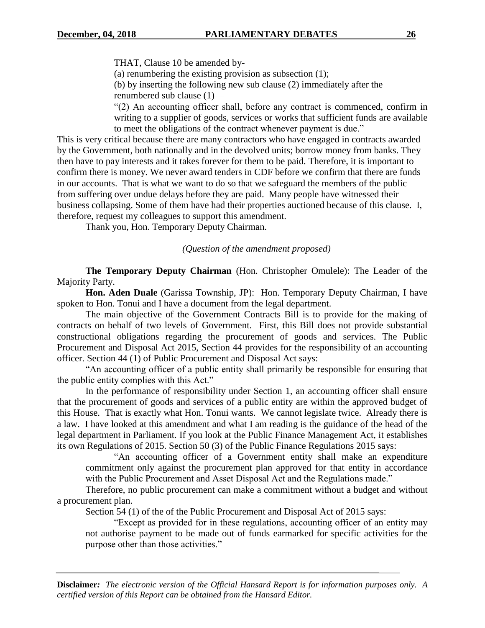THAT, Clause 10 be amended by-

(a) renumbering the existing provision as subsection (1);

(b) by inserting the following new sub clause (2) immediately after the renumbered sub clause (1)—

"(2) An accounting officer shall, before any contract is commenced, confirm in writing to a supplier of goods, services or works that sufficient funds are available to meet the obligations of the contract whenever payment is due."

This is very critical because there are many contractors who have engaged in contracts awarded by the Government, both nationally and in the devolved units; borrow money from banks. They then have to pay interests and it takes forever for them to be paid. Therefore, it is important to confirm there is money. We never award tenders in CDF before we confirm that there are funds in our accounts. That is what we want to do so that we safeguard the members of the public from suffering over undue delays before they are paid. Many people have witnessed their business collapsing. Some of them have had their properties auctioned because of this clause. I, therefore, request my colleagues to support this amendment.

Thank you, Hon. Temporary Deputy Chairman.

*(Question of the amendment proposed)*

**The Temporary Deputy Chairman** (Hon. Christopher Omulele): The Leader of the Majority Party.

**Hon. Aden Duale** (Garissa Township, JP): Hon. Temporary Deputy Chairman, I have spoken to Hon. Tonui and I have a document from the legal department.

The main objective of the Government Contracts Bill is to provide for the making of contracts on behalf of two levels of Government. First, this Bill does not provide substantial constructional obligations regarding the procurement of goods and services. The Public Procurement and Disposal Act 2015, Section 44 provides for the responsibility of an accounting officer. Section 44 (1) of Public Procurement and Disposal Act says:

"An accounting officer of a public entity shall primarily be responsible for ensuring that the public entity complies with this Act."

In the performance of responsibility under Section 1, an accounting officer shall ensure that the procurement of goods and services of a public entity are within the approved budget of this House. That is exactly what Hon. Tonui wants. We cannot legislate twice. Already there is a law. I have looked at this amendment and what I am reading is the guidance of the head of the legal department in Parliament. If you look at the Public Finance Management Act, it establishes its own Regulations of 2015. Section 50 (3) of the Public Finance Regulations 2015 says:

"An accounting officer of a Government entity shall make an expenditure commitment only against the procurement plan approved for that entity in accordance with the Public Procurement and Asset Disposal Act and the Regulations made."

Therefore, no public procurement can make a commitment without a budget and without a procurement plan.

Section 54 (1) of the of the Public Procurement and Disposal Act of 2015 says:

"Except as provided for in these regulations, accounting officer of an entity may not authorise payment to be made out of funds earmarked for specific activities for the purpose other than those activities."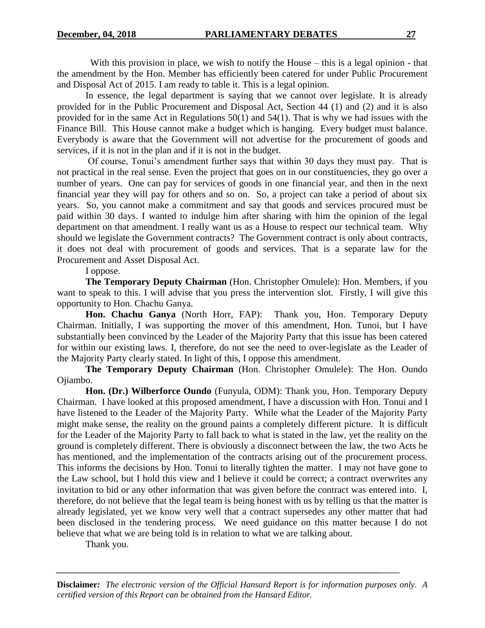With this provision in place, we wish to notify the House – this is a legal opinion - that the amendment by the Hon. Member has efficiently been catered for under Public Procurement and Disposal Act of 2015. I am ready to table it. This is a legal opinion.

In essence, the legal department is saying that we cannot over legislate. It is already provided for in the Public Procurement and Disposal Act, Section 44 (1) and (2) and it is also provided for in the same Act in Regulations 50(1) and 54(1). That is why we had issues with the Finance Bill. This House cannot make a budget which is hanging. Every budget must balance. Everybody is aware that the Government will not advertise for the procurement of goods and services, if it is not in the plan and if it is not in the budget.

Of course, Tonui's amendment further says that within 30 days they must pay. That is not practical in the real sense. Even the project that goes on in our constituencies, they go over a number of years. One can pay for services of goods in one financial year, and then in the next financial year they will pay for others and so on. So, a project can take a period of about six years. So, you cannot make a commitment and say that goods and services procured must be paid within 30 days. I wanted to indulge him after sharing with him the opinion of the legal department on that amendment. I really want us as a House to respect our technical team. Why should we legislate the Government contracts? The Government contract is only about contracts, it does not deal with procurement of goods and services. That is a separate law for the Procurement and Asset Disposal Act.

I oppose.

**The Temporary Deputy Chairman** (Hon. Christopher Omulele): Hon. Members, if you want to speak to this. I will advise that you press the intervention slot. Firstly, I will give this opportunity to Hon. Chachu Ganya.

**Hon. Chachu Ganya** (North Horr, FAP): Thank you, Hon. Temporary Deputy Chairman. Initially, I was supporting the mover of this amendment, Hon. Tunoi, but I have substantially been convinced by the Leader of the Majority Party that this issue has been catered for within our existing laws. I, therefore, do not see the need to over-legislate as the Leader of the Majority Party clearly stated. In light of this, I oppose this amendment.

**The Temporary Deputy Chairman** (Hon. Christopher Omulele): The Hon. Oundo Ojiambo.

**Hon. (Dr.) Wilberforce Oundo** (Funyula, ODM): Thank you, Hon. Temporary Deputy Chairman. I have looked at this proposed amendment, I have a discussion with Hon. Tonui and I have listened to the Leader of the Majority Party. While what the Leader of the Majority Party might make sense, the reality on the ground paints a completely different picture. It is difficult for the Leader of the Majority Party to fall back to what is stated in the law, yet the reality on the ground is completely different. There is obviously a disconnect between the law, the two Acts he has mentioned, and the implementation of the contracts arising out of the procurement process. This informs the decisions by Hon. Tonui to literally tighten the matter. I may not have gone to the Law school, but I hold this view and I believe it could be correct; a contract overwrites any invitation to bid or any other information that was given before the contract was entered into. I, therefore, do not believe that the legal team is being honest with us by telling us that the matter is already legislated, yet we know very well that a contract supersedes any other matter that had been disclosed in the tendering process. We need guidance on this matter because I do not believe that what we are being told is in relation to what we are talking about.

Thank you.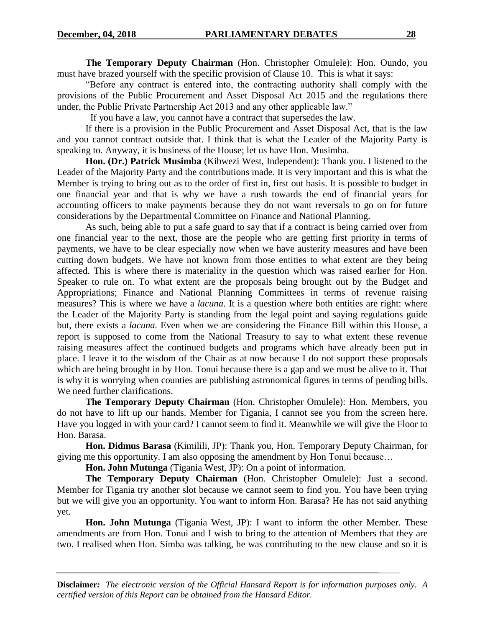**The Temporary Deputy Chairman** (Hon. Christopher Omulele): Hon. Oundo, you must have brazed yourself with the specific provision of Clause 10. This is what it says:

"Before any contract is entered into, the contracting authority shall comply with the provisions of the Public Procurement and Asset Disposal Act 2015 and the regulations there under, the Public Private Partnership Act 2013 and any other applicable law."

If you have a law, you cannot have a contract that supersedes the law.

If there is a provision in the Public Procurement and Asset Disposal Act, that is the law and you cannot contract outside that. I think that is what the Leader of the Majority Party is speaking to. Anyway, it is business of the House; let us have Hon. Musimba.

**Hon. (Dr.) Patrick Musimba** (Kibwezi West, Independent): Thank you. I listened to the Leader of the Majority Party and the contributions made. It is very important and this is what the Member is trying to bring out as to the order of first in, first out basis. It is possible to budget in one financial year and that is why we have a rush towards the end of financial years for accounting officers to make payments because they do not want reversals to go on for future considerations by the Departmental Committee on Finance and National Planning.

As such, being able to put a safe guard to say that if a contract is being carried over from one financial year to the next, those are the people who are getting first priority in terms of payments, we have to be clear especially now when we have austerity measures and have been cutting down budgets. We have not known from those entities to what extent are they being affected. This is where there is materiality in the question which was raised earlier for Hon. Speaker to rule on. To what extent are the proposals being brought out by the Budget and Appropriations; Finance and National Planning Committees in terms of revenue raising measures? This is where we have a *lacuna*. It is a question where both entities are right: where the Leader of the Majority Party is standing from the legal point and saying regulations guide but, there exists a *lacuna.* Even when we are considering the Finance Bill within this House, a report is supposed to come from the National Treasury to say to what extent these revenue raising measures affect the continued budgets and programs which have already been put in place. I leave it to the wisdom of the Chair as at now because I do not support these proposals which are being brought in by Hon. Tonui because there is a gap and we must be alive to it. That is why it is worrying when counties are publishing astronomical figures in terms of pending bills. We need further clarifications.

**The Temporary Deputy Chairman** (Hon. Christopher Omulele): Hon. Members, you do not have to lift up our hands. Member for Tigania, I cannot see you from the screen here. Have you logged in with your card? I cannot seem to find it. Meanwhile we will give the Floor to Hon. Barasa.

**Hon. Didmus Barasa** (Kimilili, JP): Thank you, Hon. Temporary Deputy Chairman, for giving me this opportunity. I am also opposing the amendment by Hon Tonui because…

**Hon. John Mutunga** (Tigania West, JP): On a point of information.

**The Temporary Deputy Chairman** (Hon. Christopher Omulele): Just a second. Member for Tigania try another slot because we cannot seem to find you. You have been trying but we will give you an opportunity. You want to inform Hon. Barasa? He has not said anything yet.

**Hon. John Mutunga** (Tigania West, JP): I want to inform the other Member. These amendments are from Hon. Tonui and I wish to bring to the attention of Members that they are two. I realised when Hon. Simba was talking, he was contributing to the new clause and so it is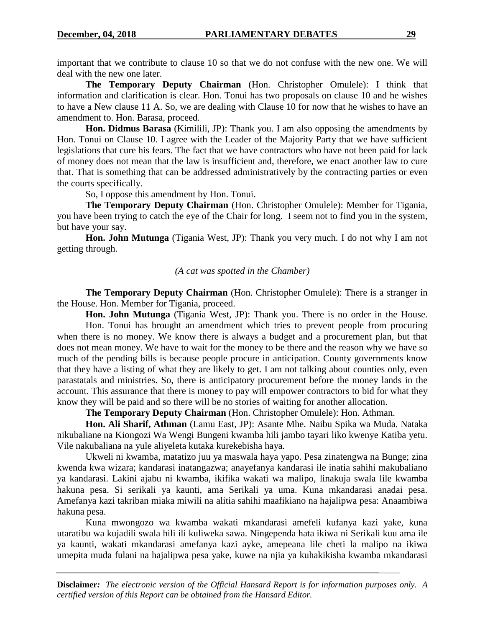important that we contribute to clause 10 so that we do not confuse with the new one. We will deal with the new one later.

**The Temporary Deputy Chairman** (Hon. Christopher Omulele): I think that information and clarification is clear. Hon. Tonui has two proposals on clause 10 and he wishes to have a New clause 11 A. So, we are dealing with Clause 10 for now that he wishes to have an amendment to. Hon. Barasa, proceed.

**Hon. Didmus Barasa** (Kimilili, JP): Thank you. I am also opposing the amendments by Hon. Tonui on Clause 10. I agree with the Leader of the Majority Party that we have sufficient legislations that cure his fears. The fact that we have contractors who have not been paid for lack of money does not mean that the law is insufficient and, therefore, we enact another law to cure that. That is something that can be addressed administratively by the contracting parties or even the courts specifically.

So, I oppose this amendment by Hon. Tonui.

**The Temporary Deputy Chairman** (Hon. Christopher Omulele): Member for Tigania, you have been trying to catch the eye of the Chair for long. I seem not to find you in the system, but have your say.

**Hon. John Mutunga** (Tigania West, JP): Thank you very much. I do not why I am not getting through.

## *(A cat was spotted in the Chamber)*

**The Temporary Deputy Chairman** (Hon. Christopher Omulele): There is a stranger in the House. Hon. Member for Tigania, proceed.

**Hon. John Mutunga** (Tigania West, JP): Thank you. There is no order in the House. Hon. Tonui has brought an amendment which tries to prevent people from procuring when there is no money. We know there is always a budget and a procurement plan, but that does not mean money. We have to wait for the money to be there and the reason why we have so much of the pending bills is because people procure in anticipation. County governments know that they have a listing of what they are likely to get. I am not talking about counties only, even parastatals and ministries. So, there is anticipatory procurement before the money lands in the account. This assurance that there is money to pay will empower contractors to bid for what they know they will be paid and so there will be no stories of waiting for another allocation.

**The Temporary Deputy Chairman** (Hon. Christopher Omulele): Hon. Athman.

**Hon. Ali Sharif, Athman** (Lamu East, JP): Asante Mhe. Naibu Spika wa Muda. Nataka nikubaliane na Kiongozi Wa Wengi Bungeni kwamba hili jambo tayari liko kwenye Katiba yetu. Vile nakubaliana na yule aliyeleta kutaka kurekebisha haya.

Ukweli ni kwamba, matatizo juu ya maswala haya yapo. Pesa zinatengwa na Bunge; zina kwenda kwa wizara; kandarasi inatangazwa; anayefanya kandarasi ile inatia sahihi makubaliano ya kandarasi. Lakini ajabu ni kwamba, ikifika wakati wa malipo, linakuja swala lile kwamba hakuna pesa. Si serikali ya kaunti, ama Serikali ya uma. Kuna mkandarasi anadai pesa. Amefanya kazi takriban miaka miwili na alitia sahihi maafikiano na hajalipwa pesa: Anaambiwa hakuna pesa.

Kuna mwongozo wa kwamba wakati mkandarasi amefeli kufanya kazi yake, kuna utaratibu wa kujadili swala hili ili kuliweka sawa. Ningependa hata ikiwa ni Serikali kuu ama ile ya kaunti, wakati mkandarasi amefanya kazi ayke, amepeana lile cheti la malipo na ikiwa umepita muda fulani na hajalipwa pesa yake, kuwe na njia ya kuhakikisha kwamba mkandarasi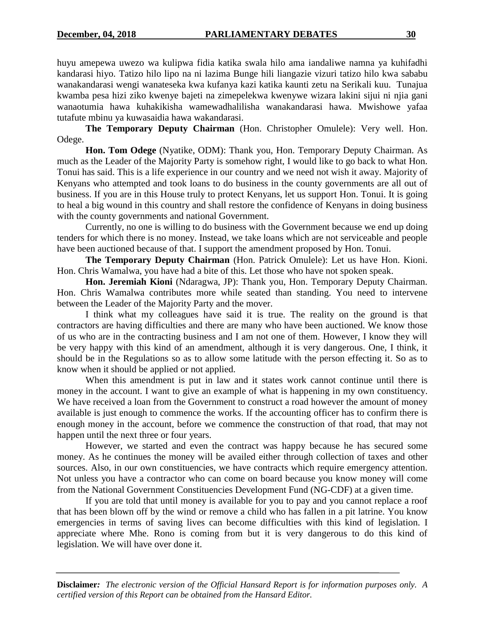huyu amepewa uwezo wa kulipwa fidia katika swala hilo ama iandaliwe namna ya kuhifadhi kandarasi hiyo. Tatizo hilo lipo na ni lazima Bunge hili liangazie vizuri tatizo hilo kwa sababu wanakandarasi wengi wanateseka kwa kufanya kazi katika kaunti zetu na Serikali kuu. Tunajua kwamba pesa hizi ziko kwenye bajeti na zimepelekwa kwenywe wizara lakini sijui ni njia gani wanaotumia hawa kuhakikisha wamewadhalilisha wanakandarasi hawa. Mwishowe yafaa tutafute mbinu ya kuwasaidia hawa wakandarasi.

**The Temporary Deputy Chairman** (Hon. Christopher Omulele): Very well. Hon. Odege.

**Hon. Tom Odege** (Nyatike, ODM): Thank you, Hon. Temporary Deputy Chairman. As much as the Leader of the Majority Party is somehow right, I would like to go back to what Hon. Tonui has said. This is a life experience in our country and we need not wish it away. Majority of Kenyans who attempted and took loans to do business in the county governments are all out of business. If you are in this House truly to protect Kenyans, let us support Hon. Tonui. It is going to heal a big wound in this country and shall restore the confidence of Kenyans in doing business with the county governments and national Government.

Currently, no one is willing to do business with the Government because we end up doing tenders for which there is no money. Instead, we take loans which are not serviceable and people have been auctioned because of that. I support the amendment proposed by Hon. Tonui.

**The Temporary Deputy Chairman** (Hon. Patrick Omulele): Let us have Hon. Kioni. Hon. Chris Wamalwa, you have had a bite of this. Let those who have not spoken speak.

**Hon. Jeremiah Kioni** (Ndaragwa, JP): Thank you, Hon. Temporary Deputy Chairman. Hon. Chris Wamalwa contributes more while seated than standing. You need to intervene between the Leader of the Majority Party and the mover.

I think what my colleagues have said it is true. The reality on the ground is that contractors are having difficulties and there are many who have been auctioned. We know those of us who are in the contracting business and I am not one of them. However, I know they will be very happy with this kind of an amendment, although it is very dangerous. One, I think, it should be in the Regulations so as to allow some latitude with the person effecting it. So as to know when it should be applied or not applied.

When this amendment is put in law and it states work cannot continue until there is money in the account. I want to give an example of what is happening in my own constituency. We have received a loan from the Government to construct a road however the amount of money available is just enough to commence the works. If the accounting officer has to confirm there is enough money in the account, before we commence the construction of that road, that may not happen until the next three or four years.

However, we started and even the contract was happy because he has secured some money. As he continues the money will be availed either through collection of taxes and other sources. Also, in our own constituencies, we have contracts which require emergency attention. Not unless you have a contractor who can come on board because you know money will come from the National Government Constituencies Development Fund (NG-CDF) at a given time.

If you are told that until money is available for you to pay and you cannot replace a roof that has been blown off by the wind or remove a child who has fallen in a pit latrine. You know emergencies in terms of saving lives can become difficulties with this kind of legislation. I appreciate where Mhe. Rono is coming from but it is very dangerous to do this kind of legislation. We will have over done it.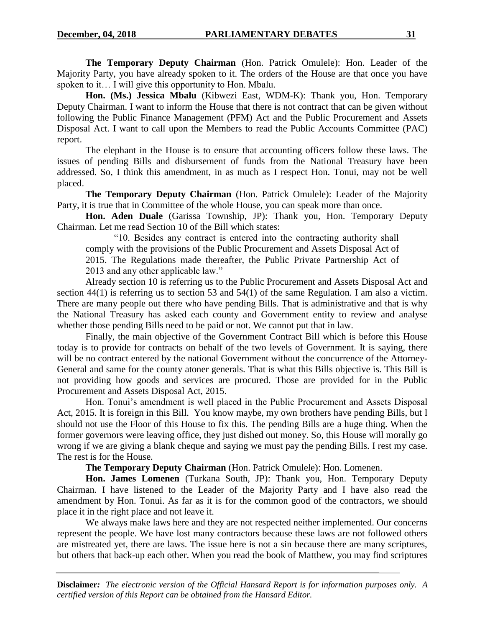**The Temporary Deputy Chairman** (Hon. Patrick Omulele): Hon. Leader of the Majority Party, you have already spoken to it. The orders of the House are that once you have spoken to it... I will give this opportunity to Hon. Mbalu.

**Hon. (Ms.) Jessica Mbalu** (Kibwezi East, WDM-K): Thank you, Hon. Temporary Deputy Chairman. I want to inform the House that there is not contract that can be given without following the Public Finance Management (PFM) Act and the Public Procurement and Assets Disposal Act. I want to call upon the Members to read the Public Accounts Committee (PAC) report.

The elephant in the House is to ensure that accounting officers follow these laws. The issues of pending Bills and disbursement of funds from the National Treasury have been addressed. So, I think this amendment, in as much as I respect Hon. Tonui, may not be well placed.

**The Temporary Deputy Chairman** (Hon. Patrick Omulele): Leader of the Majority Party, it is true that in Committee of the whole House, you can speak more than once.

**Hon. Aden Duale** (Garissa Township, JP): Thank you, Hon. Temporary Deputy Chairman. Let me read Section 10 of the Bill which states:

"10. Besides any contract is entered into the contracting authority shall comply with the provisions of the Public Procurement and Assets Disposal Act of 2015. The Regulations made thereafter, the Public Private Partnership Act of 2013 and any other applicable law."

Already section 10 is referring us to the Public Procurement and Assets Disposal Act and section 44(1) is referring us to section 53 and 54(1) of the same Regulation. I am also a victim. There are many people out there who have pending Bills. That is administrative and that is why the National Treasury has asked each county and Government entity to review and analyse whether those pending Bills need to be paid or not. We cannot put that in law.

Finally, the main objective of the Government Contract Bill which is before this House today is to provide for contracts on behalf of the two levels of Government. It is saying, there will be no contract entered by the national Government without the concurrence of the Attorney-General and same for the county atoner generals. That is what this Bills objective is. This Bill is not providing how goods and services are procured. Those are provided for in the Public Procurement and Assets Disposal Act, 2015.

Hon. Tonui's amendment is well placed in the Public Procurement and Assets Disposal Act, 2015. It is foreign in this Bill. You know maybe, my own brothers have pending Bills, but I should not use the Floor of this House to fix this. The pending Bills are a huge thing. When the former governors were leaving office, they just dished out money. So, this House will morally go wrong if we are giving a blank cheque and saying we must pay the pending Bills. I rest my case. The rest is for the House.

**The Temporary Deputy Chairman** (Hon. Patrick Omulele): Hon. Lomenen.

**Hon. James Lomenen** (Turkana South, JP): Thank you, Hon. Temporary Deputy Chairman. I have listened to the Leader of the Majority Party and I have also read the amendment by Hon. Tonui. As far as it is for the common good of the contractors, we should place it in the right place and not leave it.

We always make laws here and they are not respected neither implemented. Our concerns represent the people. We have lost many contractors because these laws are not followed others are mistreated yet, there are laws. The issue here is not a sin because there are many scriptures, but others that back-up each other. When you read the book of Matthew, you may find scriptures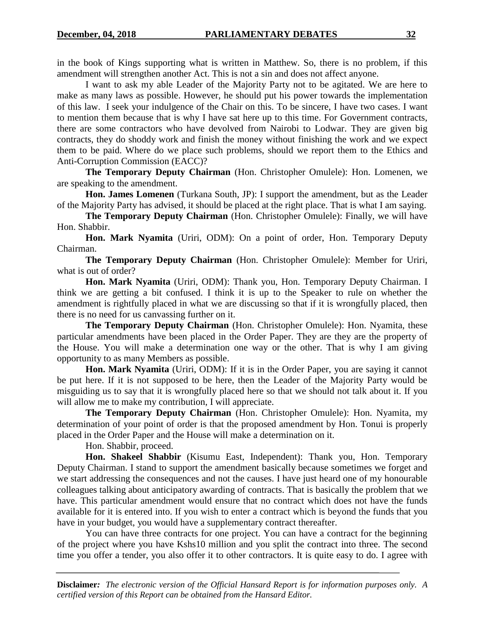in the book of Kings supporting what is written in Matthew. So, there is no problem, if this amendment will strengthen another Act. This is not a sin and does not affect anyone.

I want to ask my able Leader of the Majority Party not to be agitated. We are here to make as many laws as possible. However, he should put his power towards the implementation of this law. I seek your indulgence of the Chair on this. To be sincere, I have two cases. I want to mention them because that is why I have sat here up to this time. For Government contracts, there are some contractors who have devolved from Nairobi to Lodwar. They are given big contracts, they do shoddy work and finish the money without finishing the work and we expect them to be paid. Where do we place such problems, should we report them to the Ethics and Anti-Corruption Commission (EACC)?

**The Temporary Deputy Chairman** (Hon. Christopher Omulele): Hon. Lomenen, we are speaking to the amendment.

**Hon. James Lomenen** (Turkana South, JP): I support the amendment, but as the Leader of the Majority Party has advised, it should be placed at the right place. That is what I am saying.

**The Temporary Deputy Chairman** (Hon. Christopher Omulele): Finally, we will have Hon. Shabbir.

**Hon. Mark Nyamita** (Uriri, ODM): On a point of order, Hon. Temporary Deputy Chairman.

**The Temporary Deputy Chairman** (Hon. Christopher Omulele): Member for Uriri, what is out of order?

**Hon. Mark Nyamita** (Uriri, ODM): Thank you, Hon. Temporary Deputy Chairman. I think we are getting a bit confused. I think it is up to the Speaker to rule on whether the amendment is rightfully placed in what we are discussing so that if it is wrongfully placed, then there is no need for us canvassing further on it.

**The Temporary Deputy Chairman** (Hon. Christopher Omulele): Hon. Nyamita, these particular amendments have been placed in the Order Paper. They are they are the property of the House. You will make a determination one way or the other. That is why I am giving opportunity to as many Members as possible.

**Hon. Mark Nyamita** (Uriri, ODM): If it is in the Order Paper, you are saying it cannot be put here. If it is not supposed to be here, then the Leader of the Majority Party would be misguiding us to say that it is wrongfully placed here so that we should not talk about it. If you will allow me to make my contribution, I will appreciate.

**The Temporary Deputy Chairman** (Hon. Christopher Omulele): Hon. Nyamita, my determination of your point of order is that the proposed amendment by Hon. Tonui is properly placed in the Order Paper and the House will make a determination on it.

Hon. Shabbir, proceed.

**Hon. Shakeel Shabbir** (Kisumu East, Independent): Thank you, Hon. Temporary Deputy Chairman. I stand to support the amendment basically because sometimes we forget and we start addressing the consequences and not the causes. I have just heard one of my honourable colleagues talking about anticipatory awarding of contracts. That is basically the problem that we have. This particular amendment would ensure that no contract which does not have the funds available for it is entered into. If you wish to enter a contract which is beyond the funds that you have in your budget, you would have a supplementary contract thereafter.

You can have three contracts for one project. You can have a contract for the beginning of the project where you have Kshs10 million and you split the contract into three. The second time you offer a tender, you also offer it to other contractors. It is quite easy to do. I agree with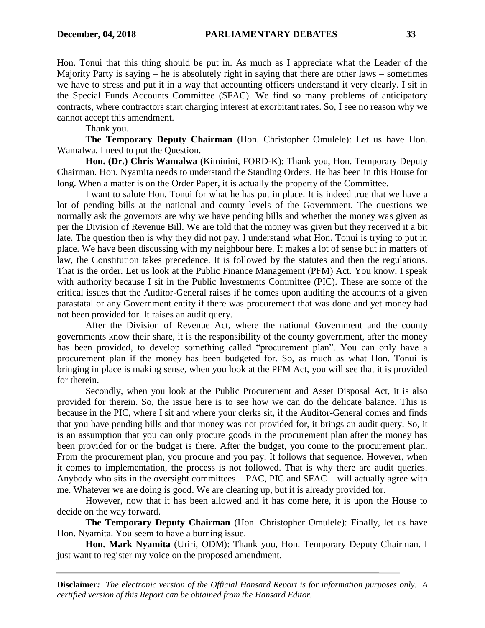Hon. Tonui that this thing should be put in. As much as I appreciate what the Leader of the Majority Party is saying – he is absolutely right in saying that there are other laws – sometimes we have to stress and put it in a way that accounting officers understand it very clearly. I sit in the Special Funds Accounts Committee (SFAC). We find so many problems of anticipatory contracts, where contractors start charging interest at exorbitant rates. So, I see no reason why we cannot accept this amendment.

Thank you.

**The Temporary Deputy Chairman** (Hon. Christopher Omulele): Let us have Hon. Wamalwa. I need to put the Question.

**Hon. (Dr.) Chris Wamalwa** (Kiminini, FORD-K): Thank you, Hon. Temporary Deputy Chairman. Hon. Nyamita needs to understand the Standing Orders. He has been in this House for long. When a matter is on the Order Paper, it is actually the property of the Committee.

I want to salute Hon. Tonui for what he has put in place. It is indeed true that we have a lot of pending bills at the national and county levels of the Government. The questions we normally ask the governors are why we have pending bills and whether the money was given as per the Division of Revenue Bill. We are told that the money was given but they received it a bit late. The question then is why they did not pay. I understand what Hon. Tonui is trying to put in place. We have been discussing with my neighbour here. It makes a lot of sense but in matters of law, the Constitution takes precedence. It is followed by the statutes and then the regulations. That is the order. Let us look at the Public Finance Management (PFM) Act. You know, I speak with authority because I sit in the Public Investments Committee (PIC). These are some of the critical issues that the Auditor-General raises if he comes upon auditing the accounts of a given parastatal or any Government entity if there was procurement that was done and yet money had not been provided for. It raises an audit query.

After the Division of Revenue Act, where the national Government and the county governments know their share, it is the responsibility of the county government, after the money has been provided, to develop something called "procurement plan". You can only have a procurement plan if the money has been budgeted for. So, as much as what Hon. Tonui is bringing in place is making sense, when you look at the PFM Act, you will see that it is provided for therein.

Secondly, when you look at the Public Procurement and Asset Disposal Act, it is also provided for therein. So, the issue here is to see how we can do the delicate balance. This is because in the PIC, where I sit and where your clerks sit, if the Auditor-General comes and finds that you have pending bills and that money was not provided for, it brings an audit query. So, it is an assumption that you can only procure goods in the procurement plan after the money has been provided for or the budget is there. After the budget, you come to the procurement plan. From the procurement plan, you procure and you pay. It follows that sequence. However, when it comes to implementation, the process is not followed. That is why there are audit queries. Anybody who sits in the oversight committees – PAC, PIC and SFAC – will actually agree with me. Whatever we are doing is good. We are cleaning up, but it is already provided for.

However, now that it has been allowed and it has come here, it is upon the House to decide on the way forward.

**The Temporary Deputy Chairman** (Hon. Christopher Omulele): Finally, let us have Hon. Nyamita. You seem to have a burning issue.

**Hon. Mark Nyamita** (Uriri, ODM): Thank you, Hon. Temporary Deputy Chairman. I just want to register my voice on the proposed amendment.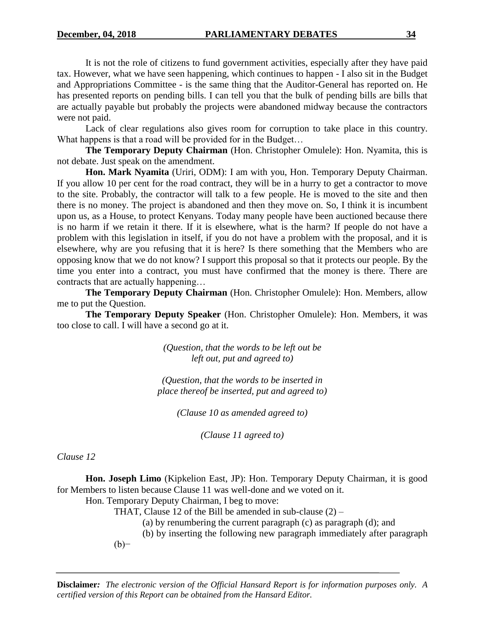It is not the role of citizens to fund government activities, especially after they have paid tax. However, what we have seen happening, which continues to happen - I also sit in the Budget and Appropriations Committee - is the same thing that the Auditor-General has reported on. He has presented reports on pending bills. I can tell you that the bulk of pending bills are bills that are actually payable but probably the projects were abandoned midway because the contractors were not paid.

Lack of clear regulations also gives room for corruption to take place in this country. What happens is that a road will be provided for in the Budget...

**The Temporary Deputy Chairman** (Hon. Christopher Omulele): Hon. Nyamita, this is not debate. Just speak on the amendment.

**Hon. Mark Nyamita** (Uriri, ODM): I am with you, Hon. Temporary Deputy Chairman. If you allow 10 per cent for the road contract, they will be in a hurry to get a contractor to move to the site. Probably, the contractor will talk to a few people. He is moved to the site and then there is no money. The project is abandoned and then they move on. So, I think it is incumbent upon us, as a House, to protect Kenyans. Today many people have been auctioned because there is no harm if we retain it there. If it is elsewhere, what is the harm? If people do not have a problem with this legislation in itself, if you do not have a problem with the proposal, and it is elsewhere, why are you refusing that it is here? Is there something that the Members who are opposing know that we do not know? I support this proposal so that it protects our people. By the time you enter into a contract, you must have confirmed that the money is there. There are contracts that are actually happening…

**The Temporary Deputy Chairman** (Hon. Christopher Omulele): Hon. Members, allow me to put the Question.

**The Temporary Deputy Speaker** (Hon. Christopher Omulele): Hon. Members, it was too close to call. I will have a second go at it.

> *(Question, that the words to be left out be left out, put and agreed to)*

*(Question, that the words to be inserted in place thereof be inserted, put and agreed to)*

*(Clause 10 as amended agreed to)*

*(Clause 11 agreed to)*

*Clause 12*

**Hon. Joseph Limo** (Kipkelion East, JP): Hon. Temporary Deputy Chairman, it is good for Members to listen because Clause 11 was well-done and we voted on it.

Hon. Temporary Deputy Chairman, I beg to move:

THAT, Clause 12 of the Bill be amended in sub-clause  $(2)$  –

(a) by renumbering the current paragraph (c) as paragraph (d); and

(b) by inserting the following new paragraph immediately after paragraph (b)−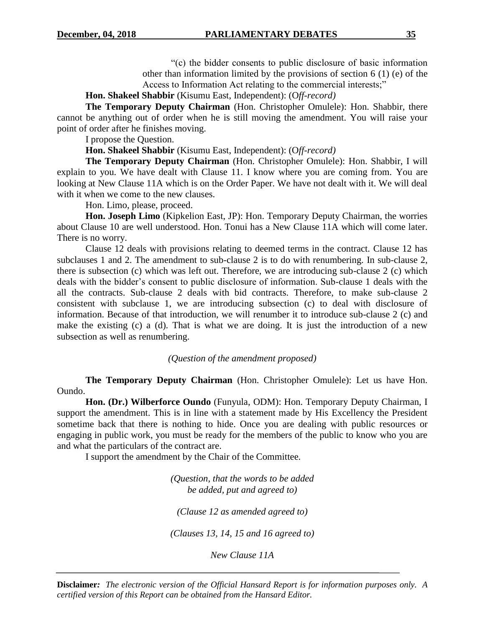"(c) the bidder consents to public disclosure of basic information other than information limited by the provisions of section 6 (1) (e) of the Access to Information Act relating to the commercial interests;"

**Hon. Shakeel Shabbir** (Kisumu East, Independent): (O*ff-record)*

**The Temporary Deputy Chairman** (Hon. Christopher Omulele): Hon. Shabbir, there cannot be anything out of order when he is still moving the amendment. You will raise your point of order after he finishes moving.

I propose the Question.

**Hon. Shakeel Shabbir** (Kisumu East, Independent): (O*ff-record)*

**The Temporary Deputy Chairman** (Hon. Christopher Omulele): Hon. Shabbir, I will explain to you. We have dealt with Clause 11. I know where you are coming from. You are looking at New Clause 11A which is on the Order Paper. We have not dealt with it. We will deal with it when we come to the new clauses.

Hon. Limo, please, proceed.

**Hon. Joseph Limo** (Kipkelion East, JP): Hon. Temporary Deputy Chairman, the worries about Clause 10 are well understood. Hon. Tonui has a New Clause 11A which will come later. There is no worry.

Clause 12 deals with provisions relating to deemed terms in the contract. Clause 12 has subclauses 1 and 2. The amendment to sub-clause 2 is to do with renumbering. In sub-clause 2, there is subsection (c) which was left out. Therefore, we are introducing sub-clause 2 (c) which deals with the bidder's consent to public disclosure of information. Sub-clause 1 deals with the all the contracts. Sub-clause 2 deals with bid contracts. Therefore, to make sub-clause 2 consistent with subclause 1, we are introducing subsection (c) to deal with disclosure of information. Because of that introduction, we will renumber it to introduce sub-clause 2 (c) and make the existing (c) a (d). That is what we are doing. It is just the introduction of a new subsection as well as renumbering.

*(Question of the amendment proposed)*

**The Temporary Deputy Chairman** (Hon. Christopher Omulele): Let us have Hon. Oundo.

**Hon. (Dr.) Wilberforce Oundo** (Funyula, ODM): Hon. Temporary Deputy Chairman, I support the amendment. This is in line with a statement made by His Excellency the President sometime back that there is nothing to hide. Once you are dealing with public resources or engaging in public work, you must be ready for the members of the public to know who you are and what the particulars of the contract are.

I support the amendment by the Chair of the Committee.

*(Question, that the words to be added be added, put and agreed to)*

*(Clause 12 as amended agreed to)*

*(Clauses 13, 14, 15 and 16 agreed to)*

*New Clause 11A*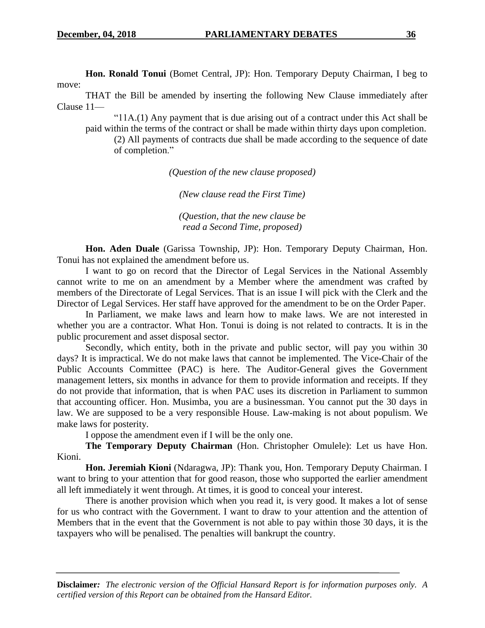**Hon. Ronald Tonui** (Bomet Central, JP): Hon. Temporary Deputy Chairman, I beg to move:

THAT the Bill be amended by inserting the following New Clause immediately after Clause 11—

"11A.(1) Any payment that is due arising out of a contract under this Act shall be paid within the terms of the contract or shall be made within thirty days upon completion.

(2) All payments of contracts due shall be made according to the sequence of date of completion."

*(Question of the new clause proposed)*

*(New clause read the First Time)*

*(Question, that the new clause be read a Second Time, proposed)*

**Hon. Aden Duale** (Garissa Township, JP): Hon. Temporary Deputy Chairman, Hon. Tonui has not explained the amendment before us.

I want to go on record that the Director of Legal Services in the National Assembly cannot write to me on an amendment by a Member where the amendment was crafted by members of the Directorate of Legal Services. That is an issue I will pick with the Clerk and the Director of Legal Services. Her staff have approved for the amendment to be on the Order Paper.

In Parliament, we make laws and learn how to make laws. We are not interested in whether you are a contractor. What Hon. Tonui is doing is not related to contracts. It is in the public procurement and asset disposal sector.

Secondly, which entity, both in the private and public sector, will pay you within 30 days? It is impractical. We do not make laws that cannot be implemented. The Vice-Chair of the Public Accounts Committee (PAC) is here. The Auditor-General gives the Government management letters, six months in advance for them to provide information and receipts. If they do not provide that information, that is when PAC uses its discretion in Parliament to summon that accounting officer. Hon. Musimba, you are a businessman. You cannot put the 30 days in law. We are supposed to be a very responsible House. Law-making is not about populism. We make laws for posterity.

I oppose the amendment even if I will be the only one.

**The Temporary Deputy Chairman** (Hon. Christopher Omulele): Let us have Hon. Kioni.

**Hon. Jeremiah Kioni** (Ndaragwa, JP): Thank you, Hon. Temporary Deputy Chairman. I want to bring to your attention that for good reason, those who supported the earlier amendment all left immediately it went through. At times, it is good to conceal your interest.

There is another provision which when you read it, is very good. It makes a lot of sense for us who contract with the Government. I want to draw to your attention and the attention of Members that in the event that the Government is not able to pay within those 30 days, it is the taxpayers who will be penalised. The penalties will bankrupt the country.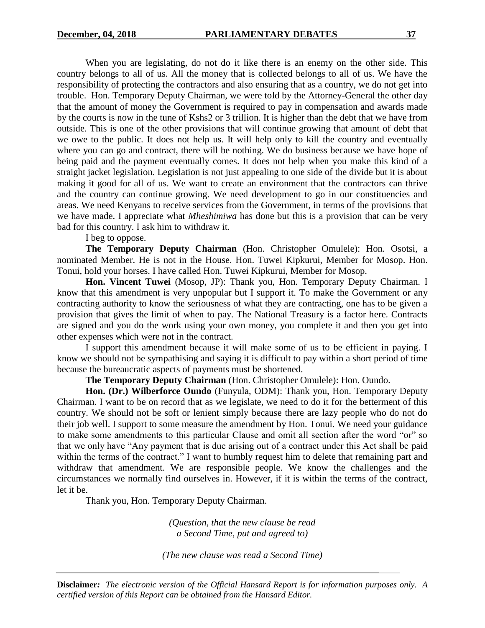When you are legislating, do not do it like there is an enemy on the other side. This country belongs to all of us. All the money that is collected belongs to all of us. We have the responsibility of protecting the contractors and also ensuring that as a country, we do not get into trouble. Hon. Temporary Deputy Chairman, we were told by the Attorney-General the other day that the amount of money the Government is required to pay in compensation and awards made by the courts is now in the tune of Kshs2 or 3 trillion. It is higher than the debt that we have from outside. This is one of the other provisions that will continue growing that amount of debt that we owe to the public. It does not help us. It will help only to kill the country and eventually where you can go and contract, there will be nothing. We do business because we have hope of being paid and the payment eventually comes. It does not help when you make this kind of a straight jacket legislation. Legislation is not just appealing to one side of the divide but it is about making it good for all of us. We want to create an environment that the contractors can thrive and the country can continue growing. We need development to go in our constituencies and areas. We need Kenyans to receive services from the Government, in terms of the provisions that we have made. I appreciate what *Mheshimiwa* has done but this is a provision that can be very bad for this country. I ask him to withdraw it.

I beg to oppose.

**The Temporary Deputy Chairman** (Hon. Christopher Omulele): Hon. Osotsi, a nominated Member. He is not in the House. Hon. Tuwei Kipkurui, Member for Mosop. Hon. Tonui, hold your horses. I have called Hon. Tuwei Kipkurui, Member for Mosop.

**Hon. Vincent Tuwei** (Mosop, JP): Thank you, Hon. Temporary Deputy Chairman. I know that this amendment is very unpopular but I support it. To make the Government or any contracting authority to know the seriousness of what they are contracting, one has to be given a provision that gives the limit of when to pay. The National Treasury is a factor here. Contracts are signed and you do the work using your own money, you complete it and then you get into other expenses which were not in the contract.

I support this amendment because it will make some of us to be efficient in paying. I know we should not be sympathising and saying it is difficult to pay within a short period of time because the bureaucratic aspects of payments must be shortened.

**The Temporary Deputy Chairman** (Hon. Christopher Omulele): Hon. Oundo.

**Hon. (Dr.) Wilberforce Oundo** (Funyula, ODM): Thank you, Hon. Temporary Deputy Chairman. I want to be on record that as we legislate, we need to do it for the betterment of this country. We should not be soft or lenient simply because there are lazy people who do not do their job well. I support to some measure the amendment by Hon. Tonui. We need your guidance to make some amendments to this particular Clause and omit all section after the word "or" so that we only have "Any payment that is due arising out of a contract under this Act shall be paid within the terms of the contract." I want to humbly request him to delete that remaining part and withdraw that amendment. We are responsible people. We know the challenges and the circumstances we normally find ourselves in. However, if it is within the terms of the contract, let it be.

Thank you, Hon. Temporary Deputy Chairman.

*(Question, that the new clause be read a Second Time, put and agreed to)*

*(The new clause was read a Second Time)*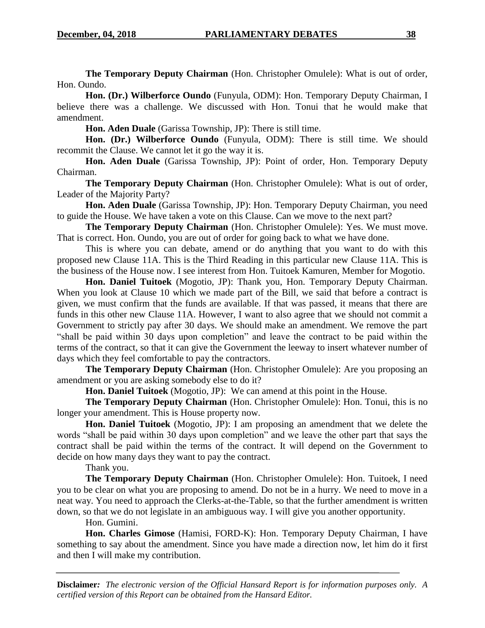**The Temporary Deputy Chairman** (Hon. Christopher Omulele): What is out of order, Hon. Oundo.

**Hon. (Dr.) Wilberforce Oundo** (Funyula, ODM): Hon. Temporary Deputy Chairman, I believe there was a challenge. We discussed with Hon. Tonui that he would make that amendment.

**Hon. Aden Duale** (Garissa Township, JP): There is still time.

**Hon. (Dr.) Wilberforce Oundo** (Funyula, ODM): There is still time. We should recommit the Clause. We cannot let it go the way it is.

**Hon. Aden Duale** (Garissa Township, JP): Point of order, Hon. Temporary Deputy Chairman.

**The Temporary Deputy Chairman** (Hon. Christopher Omulele): What is out of order, Leader of the Majority Party?

**Hon. Aden Duale** (Garissa Township, JP): Hon. Temporary Deputy Chairman, you need to guide the House. We have taken a vote on this Clause. Can we move to the next part?

**The Temporary Deputy Chairman** (Hon. Christopher Omulele): Yes. We must move. That is correct. Hon. Oundo, you are out of order for going back to what we have done.

This is where you can debate, amend or do anything that you want to do with this proposed new Clause 11A. This is the Third Reading in this particular new Clause 11A. This is the business of the House now. I see interest from Hon. Tuitoek Kamuren, Member for Mogotio.

**Hon. Daniel Tuitoek** (Mogotio, JP): Thank you, Hon. Temporary Deputy Chairman. When you look at Clause 10 which we made part of the Bill, we said that before a contract is given, we must confirm that the funds are available. If that was passed, it means that there are funds in this other new Clause 11A. However, I want to also agree that we should not commit a Government to strictly pay after 30 days. We should make an amendment. We remove the part "shall be paid within 30 days upon completion" and leave the contract to be paid within the terms of the contract, so that it can give the Government the leeway to insert whatever number of days which they feel comfortable to pay the contractors.

**The Temporary Deputy Chairman** (Hon. Christopher Omulele): Are you proposing an amendment or you are asking somebody else to do it?

**Hon. Daniel Tuitoek** (Mogotio, JP): We can amend at this point in the House.

**The Temporary Deputy Chairman** (Hon. Christopher Omulele): Hon. Tonui, this is no longer your amendment. This is House property now.

**Hon. Daniel Tuitoek** (Mogotio, JP): I am proposing an amendment that we delete the words "shall be paid within 30 days upon completion" and we leave the other part that says the contract shall be paid within the terms of the contract. It will depend on the Government to decide on how many days they want to pay the contract.

Thank you.

**The Temporary Deputy Chairman** (Hon. Christopher Omulele): Hon. Tuitoek, I need you to be clear on what you are proposing to amend. Do not be in a hurry. We need to move in a neat way. You need to approach the Clerks-at-the-Table, so that the further amendment is written down, so that we do not legislate in an ambiguous way. I will give you another opportunity.

## Hon. Gumini.

**Hon. Charles Gimose** (Hamisi, FORD-K): Hon. Temporary Deputy Chairman, I have something to say about the amendment. Since you have made a direction now, let him do it first and then I will make my contribution.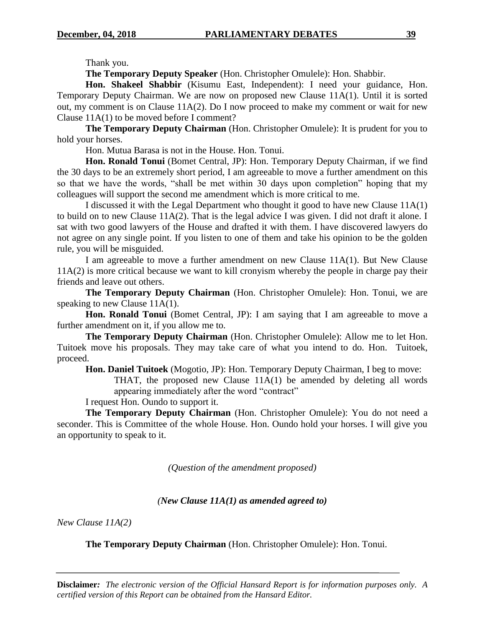Thank you.

**The Temporary Deputy Speaker** (Hon. Christopher Omulele): Hon. Shabbir.

**Hon. Shakeel Shabbir** (Kisumu East, Independent): I need your guidance, Hon. Temporary Deputy Chairman. We are now on proposed new Clause 11A(1). Until it is sorted out, my comment is on Clause 11A(2). Do I now proceed to make my comment or wait for new Clause 11A(1) to be moved before I comment?

**The Temporary Deputy Chairman** (Hon. Christopher Omulele): It is prudent for you to hold your horses.

Hon. Mutua Barasa is not in the House. Hon. Tonui.

Hon. Ronald Tonui (Bomet Central, JP): Hon. Temporary Deputy Chairman, if we find the 30 days to be an extremely short period, I am agreeable to move a further amendment on this so that we have the words, "shall be met within 30 days upon completion" hoping that my colleagues will support the second me amendment which is more critical to me.

I discussed it with the Legal Department who thought it good to have new Clause 11A(1) to build on to new Clause 11A(2). That is the legal advice I was given. I did not draft it alone. I sat with two good lawyers of the House and drafted it with them. I have discovered lawyers do not agree on any single point. If you listen to one of them and take his opinion to be the golden rule, you will be misguided.

I am agreeable to move a further amendment on new Clause 11A(1). But New Clause 11A(2) is more critical because we want to kill cronyism whereby the people in charge pay their friends and leave out others.

**The Temporary Deputy Chairman** (Hon. Christopher Omulele): Hon. Tonui, we are speaking to new Clause 11A(1).

**Hon. Ronald Tonui** (Bomet Central, JP): I am saying that I am agreeable to move a further amendment on it, if you allow me to.

**The Temporary Deputy Chairman** (Hon. Christopher Omulele): Allow me to let Hon. Tuitoek move his proposals. They may take care of what you intend to do. Hon. Tuitoek, proceed.

**Hon. Daniel Tuitoek** (Mogotio, JP): Hon. Temporary Deputy Chairman, I beg to move:

THAT, the proposed new Clause 11A(1) be amended by deleting all words appearing immediately after the word "contract"

I request Hon. Oundo to support it.

**The Temporary Deputy Chairman** (Hon. Christopher Omulele): You do not need a seconder. This is Committee of the whole House. Hon. Oundo hold your horses. I will give you an opportunity to speak to it.

*(Question of the amendment proposed)*

## *(New Clause 11A(1) as amended agreed to)*

*New Clause 11A(2)*

**The Temporary Deputy Chairman** (Hon. Christopher Omulele): Hon. Tonui.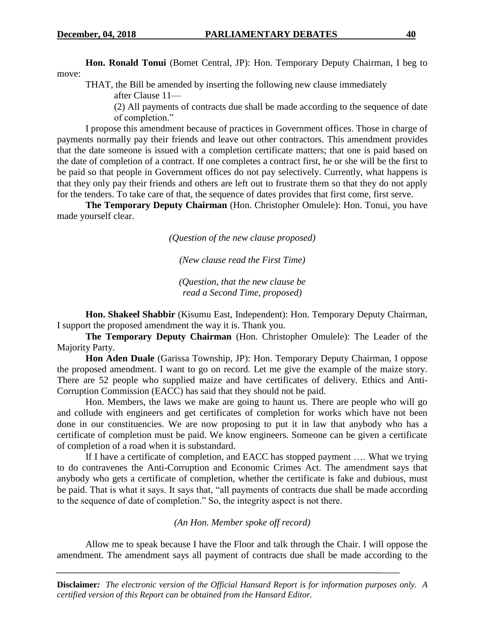**Hon. Ronald Tonui** (Bomet Central, JP): Hon. Temporary Deputy Chairman, I beg to move:

THAT, the Bill be amended by inserting the following new clause immediately

after Clause 11—

(2) All payments of contracts due shall be made according to the sequence of date of completion."

I propose this amendment because of practices in Government offices. Those in charge of payments normally pay their friends and leave out other contractors. This amendment provides that the date someone is issued with a completion certificate matters; that one is paid based on the date of completion of a contract. If one completes a contract first, he or she will be the first to be paid so that people in Government offices do not pay selectively. Currently, what happens is that they only pay their friends and others are left out to frustrate them so that they do not apply for the tenders. To take care of that, the sequence of dates provides that first come, first serve.

**The Temporary Deputy Chairman** (Hon. Christopher Omulele): Hon. Tonui, you have made yourself clear.

*(Question of the new clause proposed)*

*(New clause read the First Time)*

*(Question, that the new clause be read a Second Time, proposed)*

**Hon. Shakeel Shabbir** (Kisumu East, Independent): Hon. Temporary Deputy Chairman, I support the proposed amendment the way it is. Thank you.

**The Temporary Deputy Chairman** (Hon. Christopher Omulele): The Leader of the Majority Party.

**Hon Aden Duale** (Garissa Township, JP): Hon. Temporary Deputy Chairman, I oppose the proposed amendment. I want to go on record. Let me give the example of the maize story. There are 52 people who supplied maize and have certificates of delivery. Ethics and Anti-Corruption Commission (EACC) has said that they should not be paid.

Hon. Members, the laws we make are going to haunt us. There are people who will go and collude with engineers and get certificates of completion for works which have not been done in our constituencies. We are now proposing to put it in law that anybody who has a certificate of completion must be paid. We know engineers. Someone can be given a certificate of completion of a road when it is substandard.

If I have a certificate of completion, and EACC has stopped payment …. What we trying to do contravenes the Anti-Corruption and Economic Crimes Act. The amendment says that anybody who gets a certificate of completion, whether the certificate is fake and dubious, must be paid. That is what it says. It says that, "all payments of contracts due shall be made according to the sequence of date of completion." So, the integrity aspect is not there.

#### *(An Hon. Member spoke off record)*

Allow me to speak because I have the Floor and talk through the Chair. I will oppose the amendment. The amendment says all payment of contracts due shall be made according to the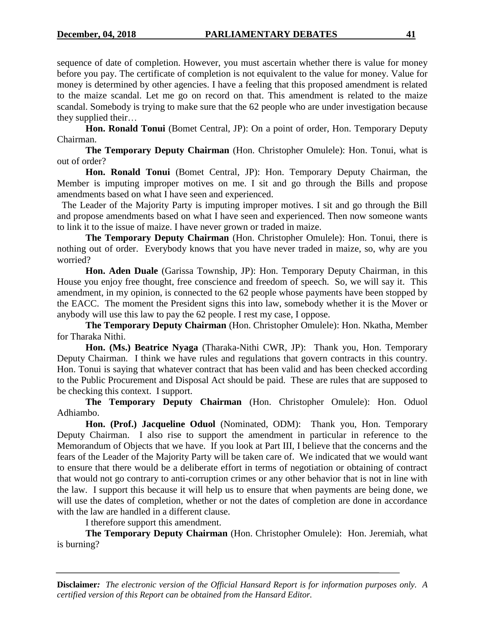sequence of date of completion. However, you must ascertain whether there is value for money before you pay. The certificate of completion is not equivalent to the value for money. Value for money is determined by other agencies. I have a feeling that this proposed amendment is related to the maize scandal. Let me go on record on that. This amendment is related to the maize scandal. Somebody is trying to make sure that the 62 people who are under investigation because they supplied their…

**Hon. Ronald Tonui** (Bomet Central, JP): On a point of order, Hon. Temporary Deputy Chairman.

**The Temporary Deputy Chairman** (Hon. Christopher Omulele): Hon. Tonui, what is out of order?

**Hon. Ronald Tonui** (Bomet Central, JP): Hon. Temporary Deputy Chairman, the Member is imputing improper motives on me. I sit and go through the Bills and propose amendments based on what I have seen and experienced.

 The Leader of the Majority Party is imputing improper motives. I sit and go through the Bill and propose amendments based on what I have seen and experienced. Then now someone wants to link it to the issue of maize. I have never grown or traded in maize.

**The Temporary Deputy Chairman** (Hon. Christopher Omulele): Hon. Tonui, there is nothing out of order. Everybody knows that you have never traded in maize, so, why are you worried?

**Hon. Aden Duale** (Garissa Township, JP): Hon. Temporary Deputy Chairman, in this House you enjoy free thought, free conscience and freedom of speech. So, we will say it. This amendment, in my opinion, is connected to the 62 people whose payments have been stopped by the EACC. The moment the President signs this into law, somebody whether it is the Mover or anybody will use this law to pay the 62 people. I rest my case, I oppose.

**The Temporary Deputy Chairman** (Hon. Christopher Omulele): Hon. Nkatha, Member for Tharaka Nithi.

**Hon. (Ms.) Beatrice Nyaga** (Tharaka-Nithi CWR, JP): Thank you, Hon. Temporary Deputy Chairman. I think we have rules and regulations that govern contracts in this country. Hon. Tonui is saying that whatever contract that has been valid and has been checked according to the Public Procurement and Disposal Act should be paid. These are rules that are supposed to be checking this context. I support.

**The Temporary Deputy Chairman** (Hon. Christopher Omulele): Hon. Oduol Adhiambo.

**Hon. (Prof.) Jacqueline Oduol** (Nominated, ODM): Thank you, Hon. Temporary Deputy Chairman. I also rise to support the amendment in particular in reference to the Memorandum of Objects that we have. If you look at Part III, I believe that the concerns and the fears of the Leader of the Majority Party will be taken care of. We indicated that we would want to ensure that there would be a deliberate effort in terms of negotiation or obtaining of contract that would not go contrary to anti-corruption crimes or any other behavior that is not in line with the law. I support this because it will help us to ensure that when payments are being done, we will use the dates of completion, whether or not the dates of completion are done in accordance with the law are handled in a different clause.

I therefore support this amendment.

**The Temporary Deputy Chairman** (Hon. Christopher Omulele): Hon. Jeremiah, what is burning?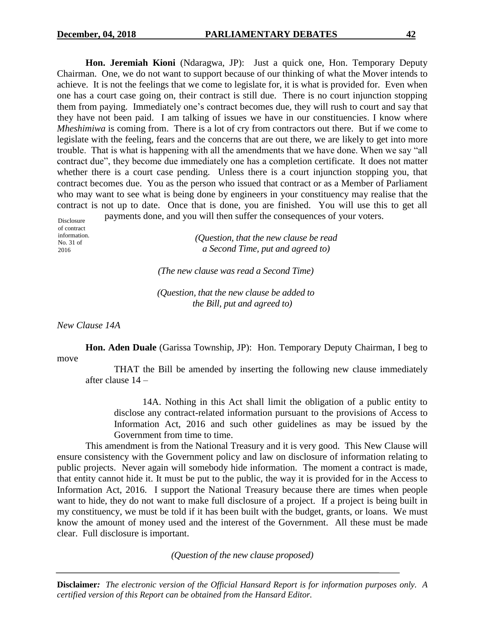**Hon. Jeremiah Kioni** (Ndaragwa, JP): Just a quick one, Hon. Temporary Deputy Chairman. One, we do not want to support because of our thinking of what the Mover intends to achieve. It is not the feelings that we come to legislate for, it is what is provided for. Even when one has a court case going on, their contract is still due. There is no court injunction stopping them from paying. Immediately one's contract becomes due, they will rush to court and say that they have not been paid. I am talking of issues we have in our constituencies. I know where *Mheshimiwa* is coming from. There is a lot of cry from contractors out there. But if we come to legislate with the feeling, fears and the concerns that are out there, we are likely to get into more trouble. That is what is happening with all the amendments that we have done. When we say "all contract due", they become due immediately one has a completion certificate. It does not matter whether there is a court case pending. Unless there is a court injunction stopping you, that contract becomes due. You as the person who issued that contract or as a Member of Parliament who may want to see what is being done by engineers in your constituency may realise that the contract is not up to date. Once that is done, you are finished. You will use this to get all payments done, and you will then suffer the consequences of your voters.

Disclosure of contract information. No. 31 of 2016

*(Question, that the new clause be read a Second Time, put and agreed to)*

*(The new clause was read a Second Time)*

*(Question, that the new clause be added to the Bill, put and agreed to)*

*New Clause 14A*

**Hon. Aden Duale** (Garissa Township, JP): Hon. Temporary Deputy Chairman, I beg to move

THAT the Bill be amended by inserting the following new clause immediately after clause 14 –

14A. Nothing in this Act shall limit the obligation of a public entity to disclose any contract-related information pursuant to the provisions of Access to Information Act, 2016 and such other guidelines as may be issued by the Government from time to time.

This amendment is from the National Treasury and it is very good. This New Clause will ensure consistency with the Government policy and law on disclosure of information relating to public projects. Never again will somebody hide information. The moment a contract is made, that entity cannot hide it. It must be put to the public, the way it is provided for in the Access to Information Act, 2016. I support the National Treasury because there are times when people want to hide, they do not want to make full disclosure of a project. If a project is being built in my constituency, we must be told if it has been built with the budget, grants, or loans. We must know the amount of money used and the interest of the Government. All these must be made clear. Full disclosure is important.

*(Question of the new clause proposed)*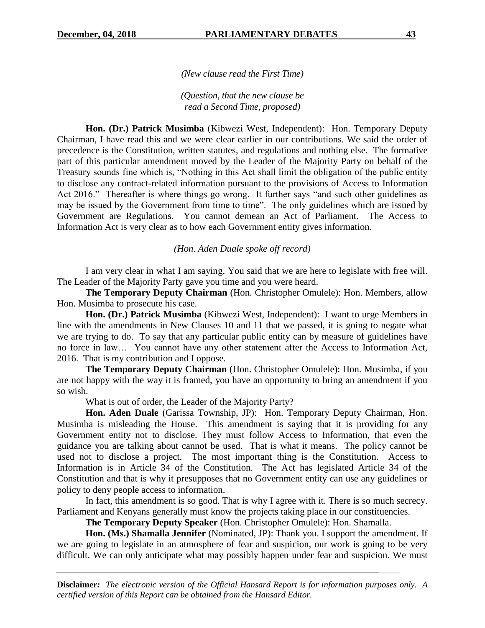*(New clause read the First Time)*

*(Question, that the new clause be read a Second Time, proposed)*

**Hon. (Dr.) Patrick Musimba** (Kibwezi West, Independent): Hon. Temporary Deputy Chairman, I have read this and we were clear earlier in our contributions. We said the order of precedence is the Constitution, written statutes, and regulations and nothing else. The formative part of this particular amendment moved by the Leader of the Majority Party on behalf of the Treasury sounds fine which is, "Nothing in this Act shall limit the obligation of the public entity to disclose any contract-related information pursuant to the provisions of Access to Information Act 2016." Thereafter is where things go wrong. It further says "and such other guidelines as may be issued by the Government from time to time". The only guidelines which are issued by Government are Regulations. You cannot demean an Act of Parliament. The Access to Information Act is very clear as to how each Government entity gives information.

*(Hon. Aden Duale spoke off record)*

I am very clear in what I am saying. You said that we are here to legislate with free will. The Leader of the Majority Party gave you time and you were heard.

**The Temporary Deputy Chairman** (Hon. Christopher Omulele): Hon. Members, allow Hon. Musimba to prosecute his case.

**Hon. (Dr.) Patrick Musimba** (Kibwezi West, Independent): I want to urge Members in line with the amendments in New Clauses 10 and 11 that we passed, it is going to negate what we are trying to do. To say that any particular public entity can by measure of guidelines have no force in law… You cannot have any other statement after the Access to Information Act, 2016. That is my contribution and I oppose.

**The Temporary Deputy Chairman** (Hon. Christopher Omulele): Hon. Musimba, if you are not happy with the way it is framed, you have an opportunity to bring an amendment if you so wish.

What is out of order, the Leader of the Majority Party?

**Hon. Aden Duale** (Garissa Township, JP): Hon. Temporary Deputy Chairman, Hon. Musimba is misleading the House. This amendment is saying that it is providing for any Government entity not to disclose. They must follow Access to Information, that even the guidance you are talking about cannot be used. That is what it means. The policy cannot be used not to disclose a project. The most important thing is the Constitution. Access to Information is in Article 34 of the Constitution. The Act has legislated Article 34 of the Constitution and that is why it presupposes that no Government entity can use any guidelines or policy to deny people access to information.

In fact, this amendment is so good. That is why I agree with it. There is so much secrecy. Parliament and Kenyans generally must know the projects taking place in our constituencies.

**The Temporary Deputy Speaker** (Hon. Christopher Omulele): Hon. Shamalla.

**Hon. (Ms.) Shamalla Jennifer** (Nominated, JP): Thank you. I support the amendment. If we are going to legislate in an atmosphere of fear and suspicion, our work is going to be very difficult. We can only anticipate what may possibly happen under fear and suspicion. We must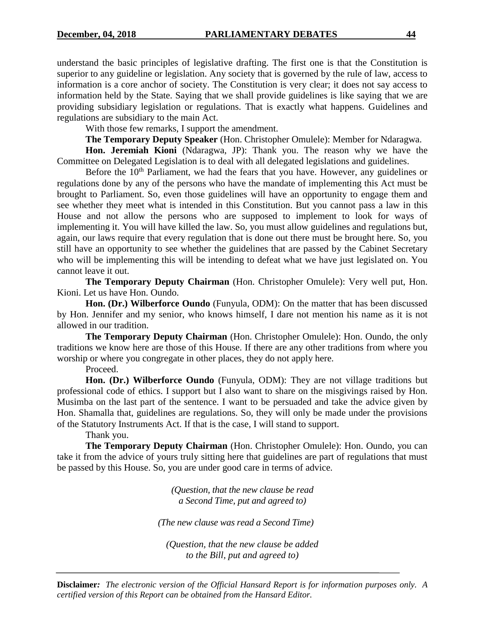understand the basic principles of legislative drafting. The first one is that the Constitution is superior to any guideline or legislation. Any society that is governed by the rule of law, access to information is a core anchor of society. The Constitution is very clear; it does not say access to information held by the State. Saying that we shall provide guidelines is like saying that we are providing subsidiary legislation or regulations. That is exactly what happens. Guidelines and regulations are subsidiary to the main Act.

With those few remarks, I support the amendment.

**The Temporary Deputy Speaker** (Hon. Christopher Omulele): Member for Ndaragwa.

**Hon. Jeremiah Kioni** (Ndaragwa, JP): Thank you. The reason why we have the Committee on Delegated Legislation is to deal with all delegated legislations and guidelines.

Before the  $10<sup>th</sup>$  Parliament, we had the fears that you have. However, any guidelines or regulations done by any of the persons who have the mandate of implementing this Act must be brought to Parliament. So, even those guidelines will have an opportunity to engage them and see whether they meet what is intended in this Constitution. But you cannot pass a law in this House and not allow the persons who are supposed to implement to look for ways of implementing it. You will have killed the law. So, you must allow guidelines and regulations but, again, our laws require that every regulation that is done out there must be brought here. So, you still have an opportunity to see whether the guidelines that are passed by the Cabinet Secretary who will be implementing this will be intending to defeat what we have just legislated on. You cannot leave it out.

**The Temporary Deputy Chairman** (Hon. Christopher Omulele): Very well put, Hon. Kioni. Let us have Hon. Oundo.

**Hon. (Dr.) Wilberforce Oundo** (Funyula, ODM): On the matter that has been discussed by Hon. Jennifer and my senior, who knows himself, I dare not mention his name as it is not allowed in our tradition.

**The Temporary Deputy Chairman** (Hon. Christopher Omulele): Hon. Oundo, the only traditions we know here are those of this House. If there are any other traditions from where you worship or where you congregate in other places, they do not apply here.

Proceed.

**Hon. (Dr.) Wilberforce Oundo** (Funyula, ODM): They are not village traditions but professional code of ethics. I support but I also want to share on the misgivings raised by Hon. Musimba on the last part of the sentence. I want to be persuaded and take the advice given by Hon. Shamalla that, guidelines are regulations. So, they will only be made under the provisions of the Statutory Instruments Act. If that is the case, I will stand to support.

Thank you.

**The Temporary Deputy Chairman** (Hon. Christopher Omulele): Hon. Oundo, you can take it from the advice of yours truly sitting here that guidelines are part of regulations that must be passed by this House. So, you are under good care in terms of advice.

> *(Question, that the new clause be read a Second Time, put and agreed to)*

*(The new clause was read a Second Time)*

*(Question, that the new clause be added to the Bill, put and agreed to)*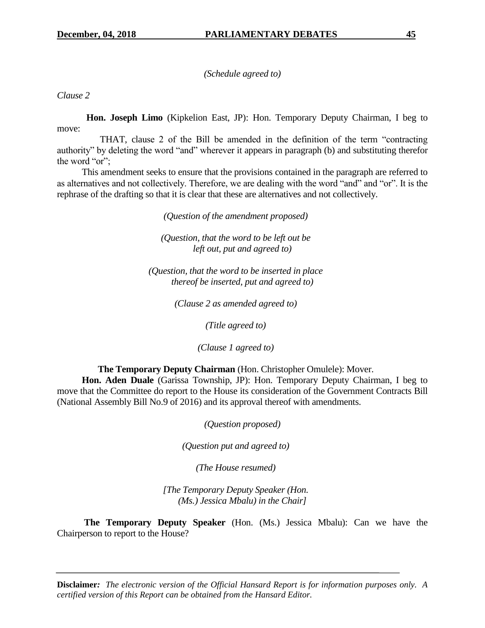*(Schedule agreed to)*

*Clause 2*

 **Hon. Joseph Limo** (Kipkelion East, JP): Hon. Temporary Deputy Chairman, I beg to move:

 THAT, clause 2 of the Bill be amended in the definition of the term "contracting authority" by deleting the word "and" wherever it appears in paragraph (b) and substituting therefor the word "or";

 This amendment seeks to ensure that the provisions contained in the paragraph are referred to as alternatives and not collectively. Therefore, we are dealing with the word "and" and "or". It is the rephrase of the drafting so that it is clear that these are alternatives and not collectively.

*(Question of the amendment proposed)* 

*(Question, that the word to be left out be left out, put and agreed to)*

*(Question, that the word to be inserted in place thereof be inserted, put and agreed to)*

*(Clause 2 as amended agreed to)*

*(Title agreed to)*

*(Clause 1 agreed to)*

**The Temporary Deputy Chairman** (Hon. Christopher Omulele): Mover.

 **Hon. Aden Duale** (Garissa Township, JP): Hon. Temporary Deputy Chairman, I beg to move that the Committee do report to the House its consideration of the Government Contracts Bill (National Assembly Bill No.9 of 2016) and its approval thereof with amendments.

*(Question proposed)*

*(Question put and agreed to)*

*(The House resumed)*

*[The Temporary Deputy Speaker (Hon. (Ms.) Jessica Mbalu) in the Chair]*

 **The Temporary Deputy Speaker** (Hon. (Ms.) Jessica Mbalu): Can we have the Chairperson to report to the House?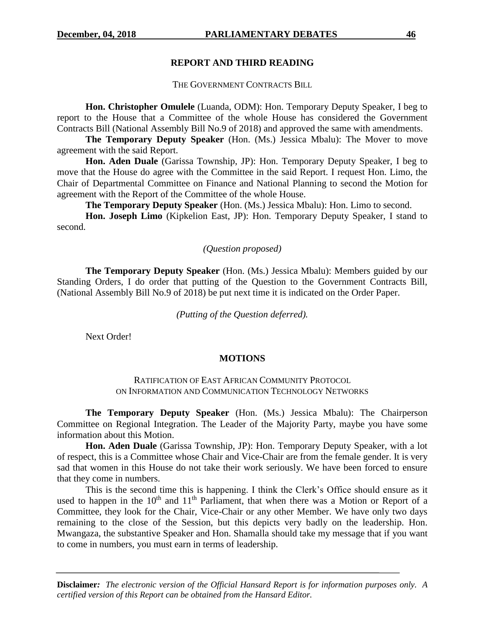#### **REPORT AND THIRD READING**

#### THE GOVERNMENT CONTRACTS BILL

**Hon. Christopher Omulele** (Luanda, ODM): Hon. Temporary Deputy Speaker, I beg to report to the House that a Committee of the whole House has considered the Government Contracts Bill (National Assembly Bill No.9 of 2018) and approved the same with amendments.

**The Temporary Deputy Speaker** (Hon. (Ms.) Jessica Mbalu): The Mover to move agreement with the said Report.

**Hon. Aden Duale** (Garissa Township, JP): Hon. Temporary Deputy Speaker, I beg to move that the House do agree with the Committee in the said Report. I request Hon. Limo, the Chair of Departmental Committee on Finance and National Planning to second the Motion for agreement with the Report of the Committee of the whole House.

**The Temporary Deputy Speaker** (Hon. (Ms.) Jessica Mbalu): Hon. Limo to second.

**Hon. Joseph Limo** (Kipkelion East, JP): Hon. Temporary Deputy Speaker, I stand to second.

#### *(Question proposed)*

**The Temporary Deputy Speaker** (Hon. (Ms.) Jessica Mbalu): Members guided by our Standing Orders, I do order that putting of the Question to the Government Contracts Bill, (National Assembly Bill No.9 of 2018) be put next time it is indicated on the Order Paper.

*(Putting of the Question deferred).*

Next Order!

#### **MOTIONS**

#### RATIFICATION OF EAST AFRICAN COMMUNITY PROTOCOL ON INFORMATION AND COMMUNICATION TECHNOLOGY NETWORKS

**The Temporary Deputy Speaker** (Hon. (Ms.) Jessica Mbalu): The Chairperson Committee on Regional Integration. The Leader of the Majority Party, maybe you have some information about this Motion.

**Hon. Aden Duale** (Garissa Township, JP): Hon. Temporary Deputy Speaker, with a lot of respect, this is a Committee whose Chair and Vice-Chair are from the female gender. It is very sad that women in this House do not take their work seriously. We have been forced to ensure that they come in numbers.

This is the second time this is happening. I think the Clerk's Office should ensure as it used to happen in the  $10<sup>th</sup>$  and  $11<sup>th</sup>$  Parliament, that when there was a Motion or Report of a Committee, they look for the Chair, Vice-Chair or any other Member. We have only two days remaining to the close of the Session, but this depicts very badly on the leadership. Hon. Mwangaza, the substantive Speaker and Hon. Shamalla should take my message that if you want to come in numbers, you must earn in terms of leadership.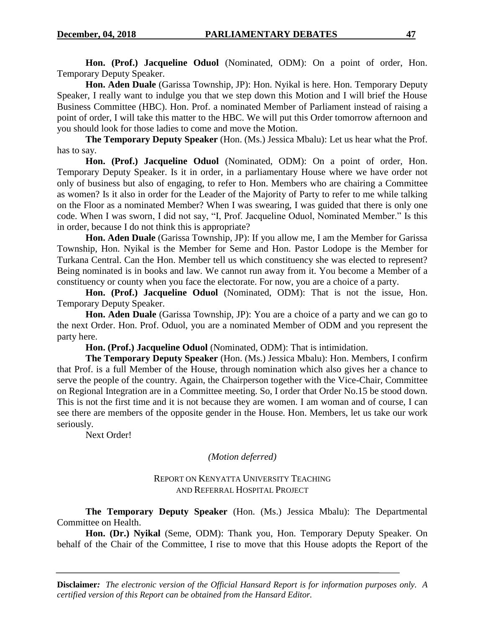**Hon. (Prof.) Jacqueline Oduol** (Nominated, ODM): On a point of order, Hon. Temporary Deputy Speaker.

**Hon. Aden Duale** (Garissa Township, JP): Hon. Nyikal is here. Hon. Temporary Deputy Speaker, I really want to indulge you that we step down this Motion and I will brief the House Business Committee (HBC). Hon. Prof. a nominated Member of Parliament instead of raising a point of order, I will take this matter to the HBC. We will put this Order tomorrow afternoon and you should look for those ladies to come and move the Motion.

**The Temporary Deputy Speaker** (Hon. (Ms.) Jessica Mbalu): Let us hear what the Prof. has to say.

**Hon. (Prof.) Jacqueline Oduol** (Nominated, ODM): On a point of order, Hon. Temporary Deputy Speaker. Is it in order, in a parliamentary House where we have order not only of business but also of engaging, to refer to Hon. Members who are chairing a Committee as women? Is it also in order for the Leader of the Majority of Party to refer to me while talking on the Floor as a nominated Member? When I was swearing, I was guided that there is only one code. When I was sworn, I did not say, "I, Prof. Jacqueline Oduol, Nominated Member." Is this in order, because I do not think this is appropriate?

**Hon. Aden Duale** (Garissa Township, JP): If you allow me, I am the Member for Garissa Township, Hon. Nyikal is the Member for Seme and Hon. Pastor Lodope is the Member for Turkana Central. Can the Hon. Member tell us which constituency she was elected to represent? Being nominated is in books and law. We cannot run away from it. You become a Member of a constituency or county when you face the electorate. For now, you are a choice of a party.

**Hon. (Prof.) Jacqueline Oduol** (Nominated, ODM): That is not the issue, Hon. Temporary Deputy Speaker.

**Hon. Aden Duale** (Garissa Township, JP): You are a choice of a party and we can go to the next Order. Hon. Prof. Oduol, you are a nominated Member of ODM and you represent the party here.

**Hon. (Prof.) Jacqueline Oduol** (Nominated, ODM): That is intimidation.

**The Temporary Deputy Speaker** (Hon. (Ms.) Jessica Mbalu): Hon. Members, I confirm that Prof. is a full Member of the House, through nomination which also gives her a chance to serve the people of the country. Again, the Chairperson together with the Vice-Chair, Committee on Regional Integration are in a Committee meeting. So, I order that Order No.15 be stood down. This is not the first time and it is not because they are women. I am woman and of course, I can see there are members of the opposite gender in the House. Hon. Members, let us take our work seriously.

Next Order!

*(Motion deferred)*

## REPORT ON KENYATTA UNIVERSITY TEACHING AND REFERRAL HOSPITAL PROJECT

**The Temporary Deputy Speaker** (Hon. (Ms.) Jessica Mbalu): The Departmental Committee on Health.

**Hon. (Dr.) Nyikal** (Seme, ODM): Thank you, Hon. Temporary Deputy Speaker. On behalf of the Chair of the Committee, I rise to move that this House adopts the Report of the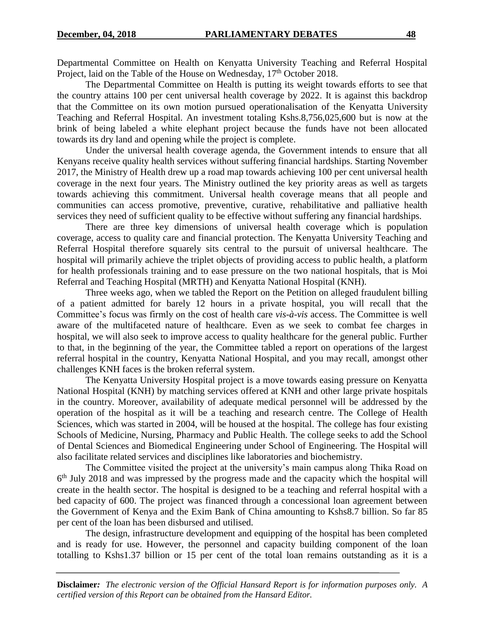Departmental Committee on Health on Kenyatta University Teaching and Referral Hospital Project, laid on the Table of the House on Wednesday, 17<sup>th</sup> October 2018.

The Departmental Committee on Health is putting its weight towards efforts to see that the country attains 100 per cent universal health coverage by 2022. It is against this backdrop that the Committee on its own motion pursued operationalisation of the Kenyatta University Teaching and Referral Hospital. An investment totaling Kshs.8,756,025,600 but is now at the brink of being labeled a white elephant project because the funds have not been allocated towards its dry land and opening while the project is complete.

Under the universal health coverage agenda, the Government intends to ensure that all Kenyans receive quality health services without suffering financial hardships. Starting November 2017, the Ministry of Health drew up a road map towards achieving 100 per cent universal health coverage in the next four years. The Ministry outlined the key priority areas as well as targets towards achieving this commitment. Universal health coverage means that all people and communities can access promotive, preventive, curative, rehabilitative and palliative health services they need of sufficient quality to be effective without suffering any financial hardships.

There are three key dimensions of universal health coverage which is population coverage, access to quality care and financial protection. The Kenyatta University Teaching and Referral Hospital therefore squarely sits central to the pursuit of universal healthcare. The hospital will primarily achieve the triplet objects of providing access to public health, a platform for health professionals training and to ease pressure on the two national hospitals, that is Moi Referral and Teaching Hospital (MRTH) and Kenyatta National Hospital (KNH).

Three weeks ago, when we tabled the Report on the Petition on alleged fraudulent billing of a patient admitted for barely 12 hours in a private hospital, you will recall that the Committee's focus was firmly on the cost of health care *vis-à-vis* access. The Committee is well aware of the multifaceted nature of healthcare. Even as we seek to combat fee charges in hospital, we will also seek to improve access to quality healthcare for the general public. Further to that, in the beginning of the year, the Committee tabled a report on operations of the largest referral hospital in the country, Kenyatta National Hospital, and you may recall, amongst other challenges KNH faces is the broken referral system.

The Kenyatta University Hospital project is a move towards easing pressure on Kenyatta National Hospital (KNH) by matching services offered at KNH and other large private hospitals in the country. Moreover, availability of adequate medical personnel will be addressed by the operation of the hospital as it will be a teaching and research centre. The College of Health Sciences, which was started in 2004, will be housed at the hospital. The college has four existing Schools of Medicine, Nursing, Pharmacy and Public Health. The college seeks to add the School of Dental Sciences and Biomedical Engineering under School of Engineering. The Hospital will also facilitate related services and disciplines like laboratories and biochemistry.

The Committee visited the project at the university's main campus along Thika Road on 6<sup>th</sup> July 2018 and was impressed by the progress made and the capacity which the hospital will create in the health sector. The hospital is designed to be a teaching and referral hospital with a bed capacity of 600. The project was financed through a concessional loan agreement between the Government of Kenya and the Exim Bank of China amounting to Kshs8.7 billion. So far 85 per cent of the loan has been disbursed and utilised.

The design, infrastructure development and equipping of the hospital has been completed and is ready for use. However, the personnel and capacity building component of the loan totalling to Kshs1.37 billion or 15 per cent of the total loan remains outstanding as it is a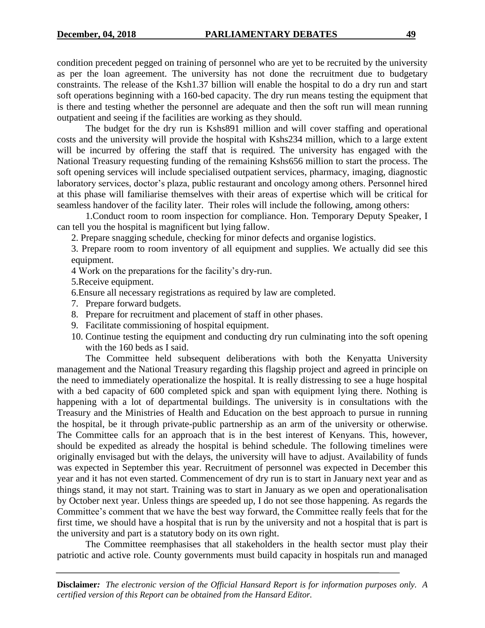condition precedent pegged on training of personnel who are yet to be recruited by the university as per the loan agreement. The university has not done the recruitment due to budgetary constraints. The release of the Ksh1.37 billion will enable the hospital to do a dry run and start soft operations beginning with a 160-bed capacity. The dry run means testing the equipment that is there and testing whether the personnel are adequate and then the soft run will mean running outpatient and seeing if the facilities are working as they should.

The budget for the dry run is Kshs891 million and will cover staffing and operational costs and the university will provide the hospital with Kshs234 million, which to a large extent will be incurred by offering the staff that is required. The university has engaged with the National Treasury requesting funding of the remaining Kshs656 million to start the process. The soft opening services will include specialised outpatient services, pharmacy, imaging, diagnostic laboratory services, doctor's plaza, public restaurant and oncology among others. Personnel hired at this phase will familiarise themselves with their areas of expertise which will be critical for seamless handover of the facility later. Their roles will include the following, among others:

1.Conduct room to room inspection for compliance. Hon. Temporary Deputy Speaker, I can tell you the hospital is magnificent but lying fallow.

2. Prepare snagging schedule, checking for minor defects and organise logistics.

3. Prepare room to room inventory of all equipment and supplies. We actually did see this equipment.

4 Work on the preparations for the facility's dry-run.

5.Receive equipment.

6.Ensure all necessary registrations as required by law are completed.

- 7. Prepare forward budgets.
- 8. Prepare for recruitment and placement of staff in other phases.
- 9. Facilitate commissioning of hospital equipment.
- 10. Continue testing the equipment and conducting dry run culminating into the soft opening with the 160 beds as I said.

The Committee held subsequent deliberations with both the Kenyatta University management and the National Treasury regarding this flagship project and agreed in principle on the need to immediately operationalize the hospital. It is really distressing to see a huge hospital with a bed capacity of 600 completed spick and span with equipment lying there. Nothing is happening with a lot of departmental buildings. The university is in consultations with the Treasury and the Ministries of Health and Education on the best approach to pursue in running the hospital, be it through private-public partnership as an arm of the university or otherwise. The Committee calls for an approach that is in the best interest of Kenyans. This, however, should be expedited as already the hospital is behind schedule. The following timelines were originally envisaged but with the delays, the university will have to adjust. Availability of funds was expected in September this year. Recruitment of personnel was expected in December this year and it has not even started. Commencement of dry run is to start in January next year and as things stand, it may not start. Training was to start in January as we open and operationalisation by October next year. Unless things are speeded up, I do not see those happening. As regards the Committee's comment that we have the best way forward, the Committee really feels that for the first time, we should have a hospital that is run by the university and not a hospital that is part is the university and part is a statutory body on its own right.

The Committee reemphasises that all stakeholders in the health sector must play their patriotic and active role. County governments must build capacity in hospitals run and managed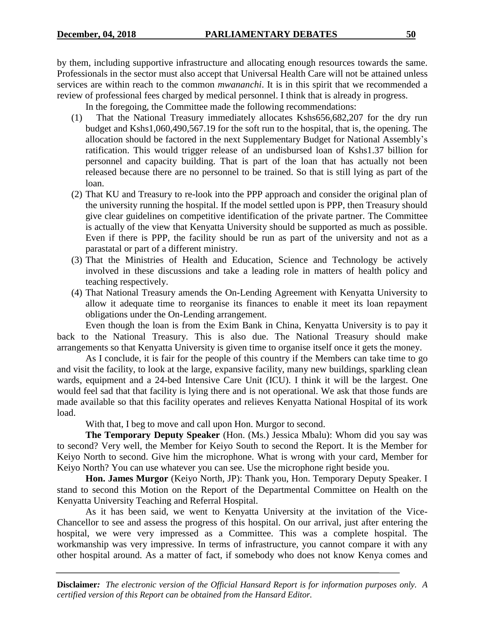by them, including supportive infrastructure and allocating enough resources towards the same. Professionals in the sector must also accept that Universal Health Care will not be attained unless services are within reach to the common *mwananchi*. It is in this spirit that we recommended a review of professional fees charged by medical personnel. I think that is already in progress.

In the foregoing, the Committee made the following recommendations:

- (1) That the National Treasury immediately allocates Kshs656,682,207 for the dry run budget and Kshs1,060,490,567.19 for the soft run to the hospital, that is, the opening. The allocation should be factored in the next Supplementary Budget for National Assembly's ratification. This would trigger release of an undisbursed loan of Kshs1.37 billion for personnel and capacity building. That is part of the loan that has actually not been released because there are no personnel to be trained. So that is still lying as part of the loan.
- (2) That KU and Treasury to re-look into the PPP approach and consider the original plan of the university running the hospital. If the model settled upon is PPP, then Treasury should give clear guidelines on competitive identification of the private partner. The Committee is actually of the view that Kenyatta University should be supported as much as possible. Even if there is PPP, the facility should be run as part of the university and not as a parastatal or part of a different ministry.
- (3) That the Ministries of Health and Education, Science and Technology be actively involved in these discussions and take a leading role in matters of health policy and teaching respectively.
- (4) That National Treasury amends the On-Lending Agreement with Kenyatta University to allow it adequate time to reorganise its finances to enable it meet its loan repayment obligations under the On-Lending arrangement.

Even though the loan is from the Exim Bank in China, Kenyatta University is to pay it back to the National Treasury. This is also due. The National Treasury should make arrangements so that Kenyatta University is given time to organise itself once it gets the money.

As I conclude, it is fair for the people of this country if the Members can take time to go and visit the facility, to look at the large, expansive facility, many new buildings, sparkling clean wards, equipment and a 24-bed Intensive Care Unit (ICU). I think it will be the largest. One would feel sad that that facility is lying there and is not operational. We ask that those funds are made available so that this facility operates and relieves Kenyatta National Hospital of its work load.

With that, I beg to move and call upon Hon. Murgor to second.

**The Temporary Deputy Speaker** (Hon. (Ms.) Jessica Mbalu): Whom did you say was to second? Very well, the Member for Keiyo South to second the Report. It is the Member for Keiyo North to second. Give him the microphone. What is wrong with your card, Member for Keiyo North? You can use whatever you can see. Use the microphone right beside you.

**Hon. James Murgor** (Keiyo North, JP): Thank you, Hon. Temporary Deputy Speaker. I stand to second this Motion on the Report of the Departmental Committee on Health on the Kenyatta University Teaching and Referral Hospital.

As it has been said, we went to Kenyatta University at the invitation of the Vice-Chancellor to see and assess the progress of this hospital. On our arrival, just after entering the hospital, we were very impressed as a Committee. This was a complete hospital. The workmanship was very impressive. In terms of infrastructure, you cannot compare it with any other hospital around. As a matter of fact, if somebody who does not know Kenya comes and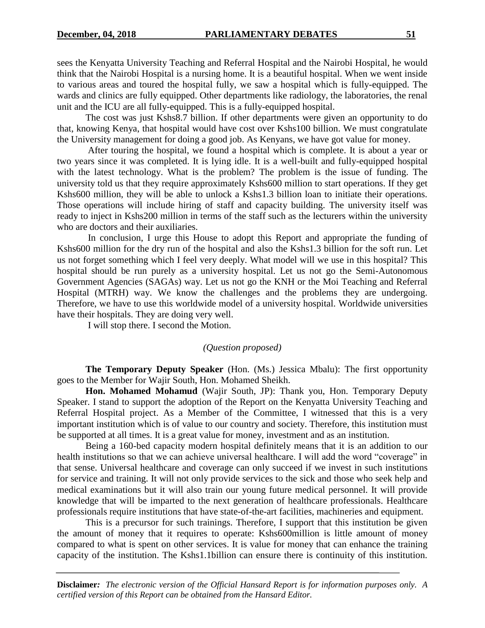sees the Kenyatta University Teaching and Referral Hospital and the Nairobi Hospital, he would think that the Nairobi Hospital is a nursing home. It is a beautiful hospital. When we went inside to various areas and toured the hospital fully, we saw a hospital which is fully-equipped. The wards and clinics are fully equipped. Other departments like radiology, the laboratories, the renal unit and the ICU are all fully-equipped. This is a fully-equipped hospital.

The cost was just Kshs8.7 billion. If other departments were given an opportunity to do that, knowing Kenya, that hospital would have cost over Kshs100 billion. We must congratulate the University management for doing a good job. As Kenyans, we have got value for money.

After touring the hospital, we found a hospital which is complete. It is about a year or two years since it was completed. It is lying idle. It is a well-built and fully-equipped hospital with the latest technology. What is the problem? The problem is the issue of funding. The university told us that they require approximately Kshs600 million to start operations. If they get Kshs600 million, they will be able to unlock a Kshs1.3 billion loan to initiate their operations. Those operations will include hiring of staff and capacity building. The university itself was ready to inject in Kshs200 million in terms of the staff such as the lecturers within the university who are doctors and their auxiliaries.

In conclusion, I urge this House to adopt this Report and appropriate the funding of Kshs600 million for the dry run of the hospital and also the Kshs1.3 billion for the soft run. Let us not forget something which I feel very deeply. What model will we use in this hospital? This hospital should be run purely as a university hospital. Let us not go the Semi-Autonomous Government Agencies (SAGAs) way. Let us not go the KNH or the Moi Teaching and Referral Hospital (MTRH) way. We know the challenges and the problems they are undergoing. Therefore, we have to use this worldwide model of a university hospital. Worldwide universities have their hospitals. They are doing very well.

I will stop there. I second the Motion.

#### *(Question proposed)*

**The Temporary Deputy Speaker** (Hon. (Ms.) Jessica Mbalu): The first opportunity goes to the Member for Wajir South, Hon. Mohamed Sheikh.

**Hon. Mohamed Mohamud** (Wajir South, JP): Thank you, Hon. Temporary Deputy Speaker. I stand to support the adoption of the Report on the Kenyatta University Teaching and Referral Hospital project. As a Member of the Committee, I witnessed that this is a very important institution which is of value to our country and society. Therefore, this institution must be supported at all times. It is a great value for money, investment and as an institution.

Being a 160-bed capacity modern hospital definitely means that it is an addition to our health institutions so that we can achieve universal healthcare. I will add the word "coverage" in that sense. Universal healthcare and coverage can only succeed if we invest in such institutions for service and training. It will not only provide services to the sick and those who seek help and medical examinations but it will also train our young future medical personnel. It will provide knowledge that will be imparted to the next generation of healthcare professionals. Healthcare professionals require institutions that have state-of-the-art facilities, machineries and equipment.

This is a precursor for such trainings. Therefore, I support that this institution be given the amount of money that it requires to operate: Kshs600million is little amount of money compared to what is spent on other services. It is value for money that can enhance the training capacity of the institution. The Kshs1.1billion can ensure there is continuity of this institution.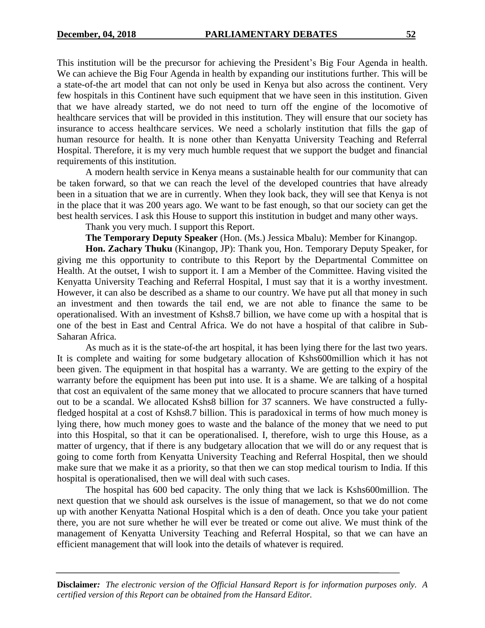This institution will be the precursor for achieving the President's Big Four Agenda in health. We can achieve the Big Four Agenda in health by expanding our institutions further. This will be a state-of-the art model that can not only be used in Kenya but also across the continent. Very few hospitals in this Continent have such equipment that we have seen in this institution. Given that we have already started, we do not need to turn off the engine of the locomotive of healthcare services that will be provided in this institution. They will ensure that our society has insurance to access healthcare services. We need a scholarly institution that fills the gap of human resource for health. It is none other than Kenyatta University Teaching and Referral Hospital. Therefore, it is my very much humble request that we support the budget and financial requirements of this institution.

A modern health service in Kenya means a sustainable health for our community that can be taken forward, so that we can reach the level of the developed countries that have already been in a situation that we are in currently. When they look back, they will see that Kenya is not in the place that it was 200 years ago. We want to be fast enough, so that our society can get the best health services. I ask this House to support this institution in budget and many other ways.

Thank you very much. I support this Report.

**The Temporary Deputy Speaker** (Hon. (Ms.) Jessica Mbalu): Member for Kinangop.

**Hon. Zachary Thuku** (Kinangop, JP): Thank you, Hon. Temporary Deputy Speaker, for giving me this opportunity to contribute to this Report by the Departmental Committee on Health. At the outset, I wish to support it. I am a Member of the Committee. Having visited the Kenyatta University Teaching and Referral Hospital, I must say that it is a worthy investment. However, it can also be described as a shame to our country. We have put all that money in such an investment and then towards the tail end, we are not able to finance the same to be operationalised. With an investment of Kshs8.7 billion, we have come up with a hospital that is one of the best in East and Central Africa. We do not have a hospital of that calibre in Sub-Saharan Africa.

As much as it is the state-of-the art hospital, it has been lying there for the last two years. It is complete and waiting for some budgetary allocation of Kshs600million which it has not been given. The equipment in that hospital has a warranty. We are getting to the expiry of the warranty before the equipment has been put into use. It is a shame. We are talking of a hospital that cost an equivalent of the same money that we allocated to procure scanners that have turned out to be a scandal. We allocated Kshs8 billion for 37 scanners. We have constructed a fullyfledged hospital at a cost of Kshs8.7 billion. This is paradoxical in terms of how much money is lying there, how much money goes to waste and the balance of the money that we need to put into this Hospital, so that it can be operationalised. I, therefore, wish to urge this House, as a matter of urgency, that if there is any budgetary allocation that we will do or any request that is going to come forth from Kenyatta University Teaching and Referral Hospital, then we should make sure that we make it as a priority, so that then we can stop medical tourism to India. If this hospital is operationalised, then we will deal with such cases.

The hospital has 600 bed capacity. The only thing that we lack is Kshs600million. The next question that we should ask ourselves is the issue of management, so that we do not come up with another Kenyatta National Hospital which is a den of death. Once you take your patient there, you are not sure whether he will ever be treated or come out alive. We must think of the management of Kenyatta University Teaching and Referral Hospital, so that we can have an efficient management that will look into the details of whatever is required.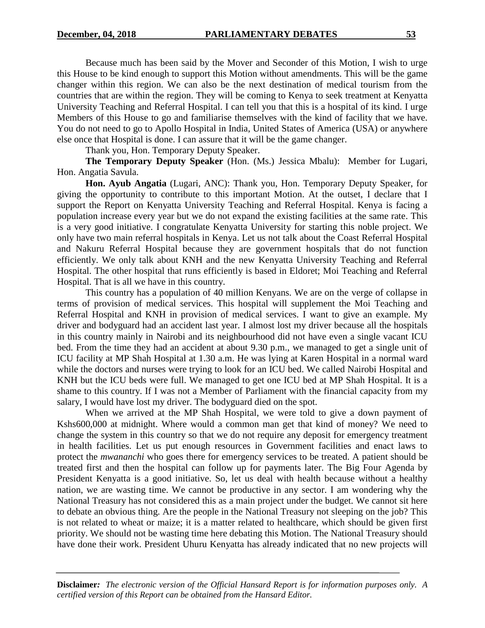Because much has been said by the Mover and Seconder of this Motion, I wish to urge this House to be kind enough to support this Motion without amendments. This will be the game changer within this region. We can also be the next destination of medical tourism from the countries that are within the region. They will be coming to Kenya to seek treatment at Kenyatta University Teaching and Referral Hospital. I can tell you that this is a hospital of its kind. I urge Members of this House to go and familiarise themselves with the kind of facility that we have. You do not need to go to Apollo Hospital in India, United States of America (USA) or anywhere else once that Hospital is done. I can assure that it will be the game changer.

Thank you, Hon. Temporary Deputy Speaker.

**The Temporary Deputy Speaker** (Hon. (Ms.) Jessica Mbalu): Member for Lugari, Hon. Angatia Savula.

**Hon. Ayub Angatia** (Lugari, ANC): Thank you, Hon. Temporary Deputy Speaker, for giving the opportunity to contribute to this important Motion. At the outset, I declare that I support the Report on Kenyatta University Teaching and Referral Hospital. Kenya is facing a population increase every year but we do not expand the existing facilities at the same rate. This is a very good initiative. I congratulate Kenyatta University for starting this noble project. We only have two main referral hospitals in Kenya. Let us not talk about the Coast Referral Hospital and Nakuru Referral Hospital because they are government hospitals that do not function efficiently. We only talk about KNH and the new Kenyatta University Teaching and Referral Hospital. The other hospital that runs efficiently is based in Eldoret; Moi Teaching and Referral Hospital. That is all we have in this country.

This country has a population of 40 million Kenyans. We are on the verge of collapse in terms of provision of medical services. This hospital will supplement the Moi Teaching and Referral Hospital and KNH in provision of medical services. I want to give an example. My driver and bodyguard had an accident last year. I almost lost my driver because all the hospitals in this country mainly in Nairobi and its neighbourhood did not have even a single vacant ICU bed. From the time they had an accident at about 9.30 p.m., we managed to get a single unit of ICU facility at MP Shah Hospital at 1.30 a.m. He was lying at Karen Hospital in a normal ward while the doctors and nurses were trying to look for an ICU bed. We called Nairobi Hospital and KNH but the ICU beds were full. We managed to get one ICU bed at MP Shah Hospital. It is a shame to this country. If I was not a Member of Parliament with the financial capacity from my salary, I would have lost my driver. The bodyguard died on the spot.

When we arrived at the MP Shah Hospital, we were told to give a down payment of Kshs600,000 at midnight. Where would a common man get that kind of money? We need to change the system in this country so that we do not require any deposit for emergency treatment in health facilities. Let us put enough resources in Government facilities and enact laws to protect the *mwananchi* who goes there for emergency services to be treated. A patient should be treated first and then the hospital can follow up for payments later. The Big Four Agenda by President Kenyatta is a good initiative. So, let us deal with health because without a healthy nation, we are wasting time. We cannot be productive in any sector. I am wondering why the National Treasury has not considered this as a main project under the budget. We cannot sit here to debate an obvious thing. Are the people in the National Treasury not sleeping on the job? This is not related to wheat or maize; it is a matter related to healthcare, which should be given first priority. We should not be wasting time here debating this Motion. The National Treasury should have done their work. President Uhuru Kenyatta has already indicated that no new projects will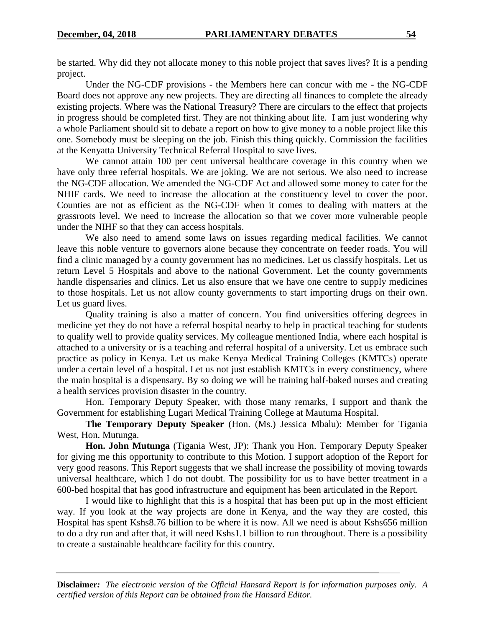be started. Why did they not allocate money to this noble project that saves lives? It is a pending project.

Under the NG-CDF provisions - the Members here can concur with me - the NG-CDF Board does not approve any new projects. They are directing all finances to complete the already existing projects. Where was the National Treasury? There are circulars to the effect that projects in progress should be completed first. They are not thinking about life. I am just wondering why a whole Parliament should sit to debate a report on how to give money to a noble project like this one. Somebody must be sleeping on the job. Finish this thing quickly. Commission the facilities at the Kenyatta University Technical Referral Hospital to save lives.

We cannot attain 100 per cent universal healthcare coverage in this country when we have only three referral hospitals. We are joking. We are not serious. We also need to increase the NG-CDF allocation. We amended the NG-CDF Act and allowed some money to cater for the NHIF cards. We need to increase the allocation at the constituency level to cover the poor. Counties are not as efficient as the NG-CDF when it comes to dealing with matters at the grassroots level. We need to increase the allocation so that we cover more vulnerable people under the NIHF so that they can access hospitals.

We also need to amend some laws on issues regarding medical facilities. We cannot leave this noble venture to governors alone because they concentrate on feeder roads. You will find a clinic managed by a county government has no medicines. Let us classify hospitals. Let us return Level 5 Hospitals and above to the national Government. Let the county governments handle dispensaries and clinics. Let us also ensure that we have one centre to supply medicines to those hospitals. Let us not allow county governments to start importing drugs on their own. Let us guard lives.

Quality training is also a matter of concern. You find universities offering degrees in medicine yet they do not have a referral hospital nearby to help in practical teaching for students to qualify well to provide quality services. My colleague mentioned India, where each hospital is attached to a university or is a teaching and referral hospital of a university. Let us embrace such practice as policy in Kenya. Let us make Kenya Medical Training Colleges (KMTCs) operate under a certain level of a hospital. Let us not just establish KMTCs in every constituency, where the main hospital is a dispensary. By so doing we will be training half-baked nurses and creating a health services provision disaster in the country.

Hon. Temporary Deputy Speaker, with those many remarks, I support and thank the Government for establishing Lugari Medical Training College at Mautuma Hospital.

**The Temporary Deputy Speaker** (Hon. (Ms.) Jessica Mbalu): Member for Tigania West, Hon. Mutunga.

**Hon. John Mutunga** (Tigania West, JP): Thank you Hon. Temporary Deputy Speaker for giving me this opportunity to contribute to this Motion. I support adoption of the Report for very good reasons. This Report suggests that we shall increase the possibility of moving towards universal healthcare, which I do not doubt. The possibility for us to have better treatment in a 600-bed hospital that has good infrastructure and equipment has been articulated in the Report.

I would like to highlight that this is a hospital that has been put up in the most efficient way. If you look at the way projects are done in Kenya, and the way they are costed, this Hospital has spent Kshs8.76 billion to be where it is now. All we need is about Kshs656 million to do a dry run and after that, it will need Kshs1.1 billion to run throughout. There is a possibility to create a sustainable healthcare facility for this country.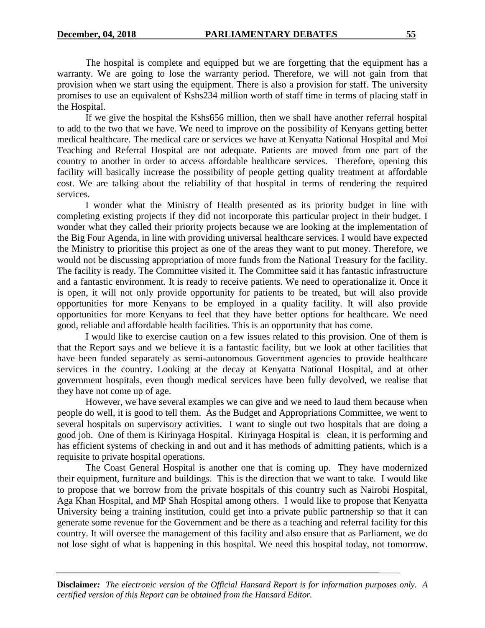The hospital is complete and equipped but we are forgetting that the equipment has a warranty. We are going to lose the warranty period. Therefore, we will not gain from that provision when we start using the equipment. There is also a provision for staff. The university promises to use an equivalent of Kshs234 million worth of staff time in terms of placing staff in the Hospital.

If we give the hospital the Kshs656 million, then we shall have another referral hospital to add to the two that we have. We need to improve on the possibility of Kenyans getting better medical healthcare. The medical care or services we have at Kenyatta National Hospital and Moi Teaching and Referral Hospital are not adequate. Patients are moved from one part of the country to another in order to access affordable healthcare services. Therefore, opening this facility will basically increase the possibility of people getting quality treatment at affordable cost. We are talking about the reliability of that hospital in terms of rendering the required services.

I wonder what the Ministry of Health presented as its priority budget in line with completing existing projects if they did not incorporate this particular project in their budget. I wonder what they called their priority projects because we are looking at the implementation of the Big Four Agenda, in line with providing universal healthcare services. I would have expected the Ministry to prioritise this project as one of the areas they want to put money. Therefore, we would not be discussing appropriation of more funds from the National Treasury for the facility. The facility is ready. The Committee visited it. The Committee said it has fantastic infrastructure and a fantastic environment. It is ready to receive patients. We need to operationalize it. Once it is open, it will not only provide opportunity for patients to be treated, but will also provide opportunities for more Kenyans to be employed in a quality facility. It will also provide opportunities for more Kenyans to feel that they have better options for healthcare. We need good, reliable and affordable health facilities. This is an opportunity that has come.

I would like to exercise caution on a few issues related to this provision. One of them is that the Report says and we believe it is a fantastic facility, but we look at other facilities that have been funded separately as semi-autonomous Government agencies to provide healthcare services in the country. Looking at the decay at Kenyatta National Hospital, and at other government hospitals, even though medical services have been fully devolved, we realise that they have not come up of age.

However, we have several examples we can give and we need to laud them because when people do well, it is good to tell them. As the Budget and Appropriations Committee, we went to several hospitals on supervisory activities. I want to single out two hospitals that are doing a good job. One of them is Kirinyaga Hospital. Kirinyaga Hospital is clean, it is performing and has efficient systems of checking in and out and it has methods of admitting patients, which is a requisite to private hospital operations.

The Coast General Hospital is another one that is coming up. They have modernized their equipment, furniture and buildings. This is the direction that we want to take. I would like to propose that we borrow from the private hospitals of this country such as Nairobi Hospital, Aga Khan Hospital, and MP Shah Hospital among others. I would like to propose that Kenyatta University being a training institution, could get into a private public partnership so that it can generate some revenue for the Government and be there as a teaching and referral facility for this country. It will oversee the management of this facility and also ensure that as Parliament, we do not lose sight of what is happening in this hospital. We need this hospital today, not tomorrow.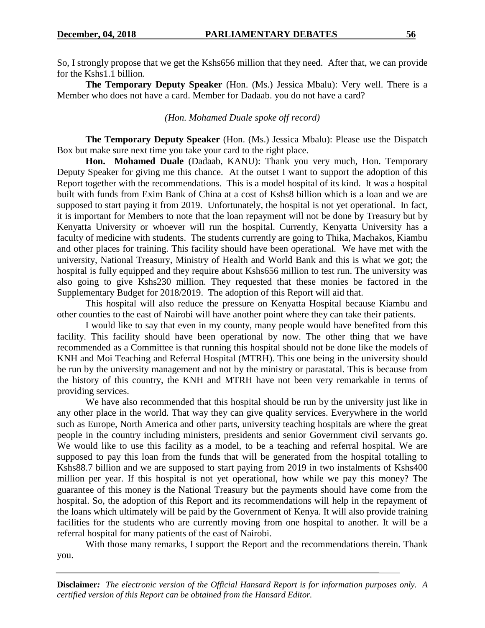So, I strongly propose that we get the Kshs656 million that they need. After that, we can provide for the Kshs1.1 billion.

**The Temporary Deputy Speaker** (Hon. (Ms.) Jessica Mbalu): Very well. There is a Member who does not have a card. Member for Dadaab. you do not have a card?

## *(Hon. Mohamed Duale spoke off record)*

**The Temporary Deputy Speaker** (Hon. (Ms.) Jessica Mbalu): Please use the Dispatch Box but make sure next time you take your card to the right place.

**Hon. Mohamed Duale** (Dadaab, KANU): Thank you very much, Hon. Temporary Deputy Speaker for giving me this chance. At the outset I want to support the adoption of this Report together with the recommendations. This is a model hospital of its kind. It was a hospital built with funds from Exim Bank of China at a cost of Kshs8 billion which is a loan and we are supposed to start paying it from 2019. Unfortunately, the hospital is not yet operational. In fact, it is important for Members to note that the loan repayment will not be done by Treasury but by Kenyatta University or whoever will run the hospital. Currently, Kenyatta University has a faculty of medicine with students. The students currently are going to Thika, Machakos, Kiambu and other places for training. This facility should have been operational. We have met with the university, National Treasury, Ministry of Health and World Bank and this is what we got; the hospital is fully equipped and they require about Kshs656 million to test run. The university was also going to give Kshs230 million. They requested that these monies be factored in the Supplementary Budget for 2018/2019. The adoption of this Report will aid that.

This hospital will also reduce the pressure on Kenyatta Hospital because Kiambu and other counties to the east of Nairobi will have another point where they can take their patients.

I would like to say that even in my county, many people would have benefited from this facility. This facility should have been operational by now. The other thing that we have recommended as a Committee is that running this hospital should not be done like the models of KNH and Moi Teaching and Referral Hospital (MTRH). This one being in the university should be run by the university management and not by the ministry or parastatal. This is because from the history of this country, the KNH and MTRH have not been very remarkable in terms of providing services.

We have also recommended that this hospital should be run by the university just like in any other place in the world. That way they can give quality services. Everywhere in the world such as Europe, North America and other parts, university teaching hospitals are where the great people in the country including ministers, presidents and senior Government civil servants go. We would like to use this facility as a model, to be a teaching and referral hospital. We are supposed to pay this loan from the funds that will be generated from the hospital totalling to Kshs88.7 billion and we are supposed to start paying from 2019 in two instalments of Kshs400 million per year. If this hospital is not yet operational, how while we pay this money? The guarantee of this money is the National Treasury but the payments should have come from the hospital. So, the adoption of this Report and its recommendations will help in the repayment of the loans which ultimately will be paid by the Government of Kenya. It will also provide training facilities for the students who are currently moving from one hospital to another. It will be a referral hospital for many patients of the east of Nairobi.

With those many remarks, I support the Report and the recommendations therein. Thank you.